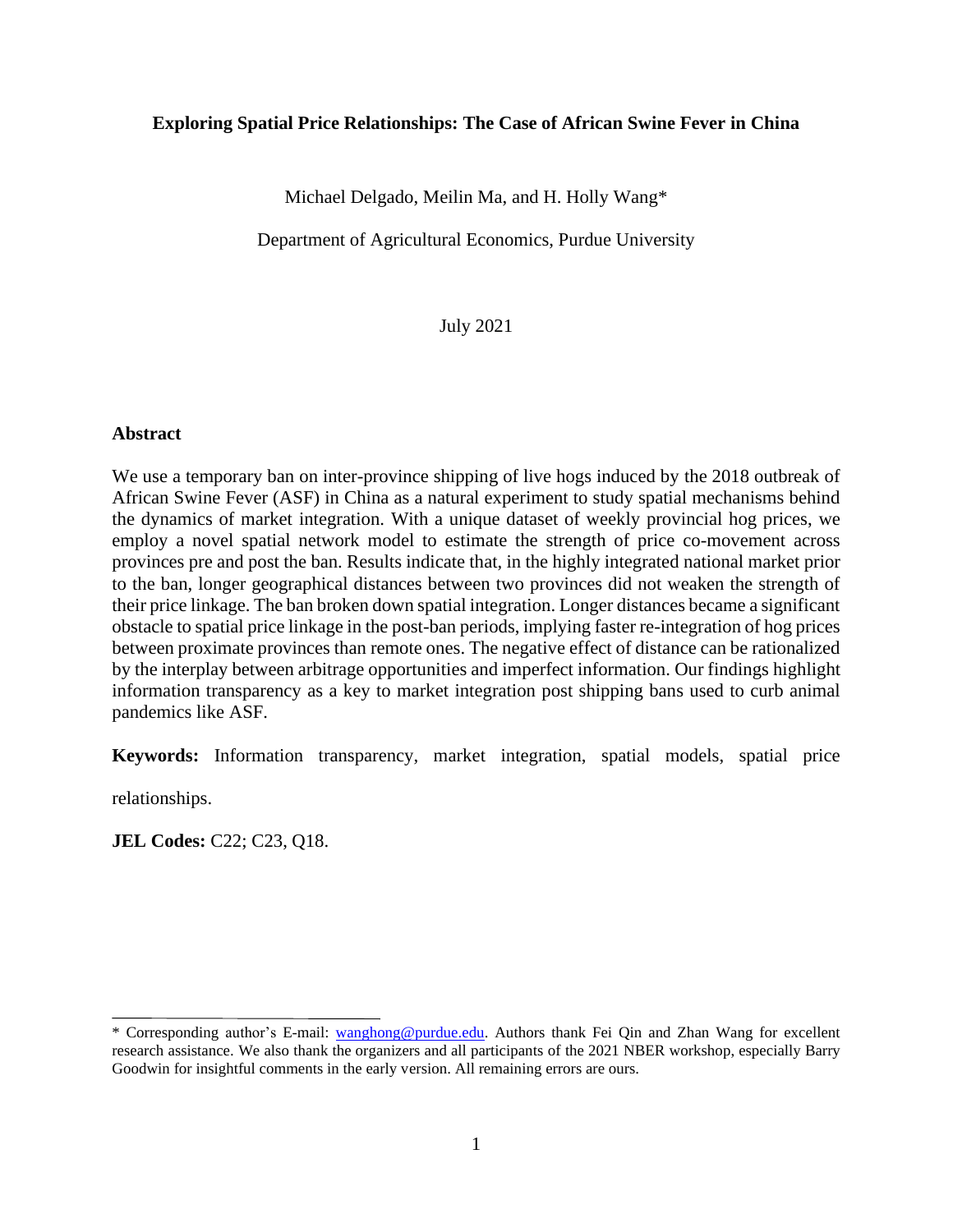## **Exploring Spatial Price Relationships: The Case of African Swine Fever in China**

Michael Delgado, Meilin Ma, and H. Holly Wang\*

Department of Agricultural Economics, Purdue University

July 2021

## **Abstract**

We use a temporary ban on inter-province shipping of live hogs induced by the 2018 outbreak of African Swine Fever (ASF) in China as a natural experiment to study spatial mechanisms behind the dynamics of market integration. With a unique dataset of weekly provincial hog prices, we employ a novel spatial network model to estimate the strength of price co-movement across provinces pre and post the ban. Results indicate that, in the highly integrated national market prior to the ban, longer geographical distances between two provinces did not weaken the strength of their price linkage. The ban broken down spatial integration. Longer distances became a significant obstacle to spatial price linkage in the post-ban periods, implying faster re-integration of hog prices between proximate provinces than remote ones. The negative effect of distance can be rationalized by the interplay between arbitrage opportunities and imperfect information. Our findings highlight information transparency as a key to market integration post shipping bans used to curb animal pandemics like ASF.

**Keywords:** Information transparency, market integration, spatial models, spatial price

relationships.

**JEL Codes: C22; C23, O18.** 

<sup>\*</sup> Corresponding author's E-mail: [wanghong@purdue.edu.](mailto:wanghong@purdue.edu) Authors thank Fei Qin and Zhan Wang for excellent research assistance. We also thank the organizers and all participants of the 2021 NBER workshop, especially Barry Goodwin for insightful comments in the early version. All remaining errors are ours.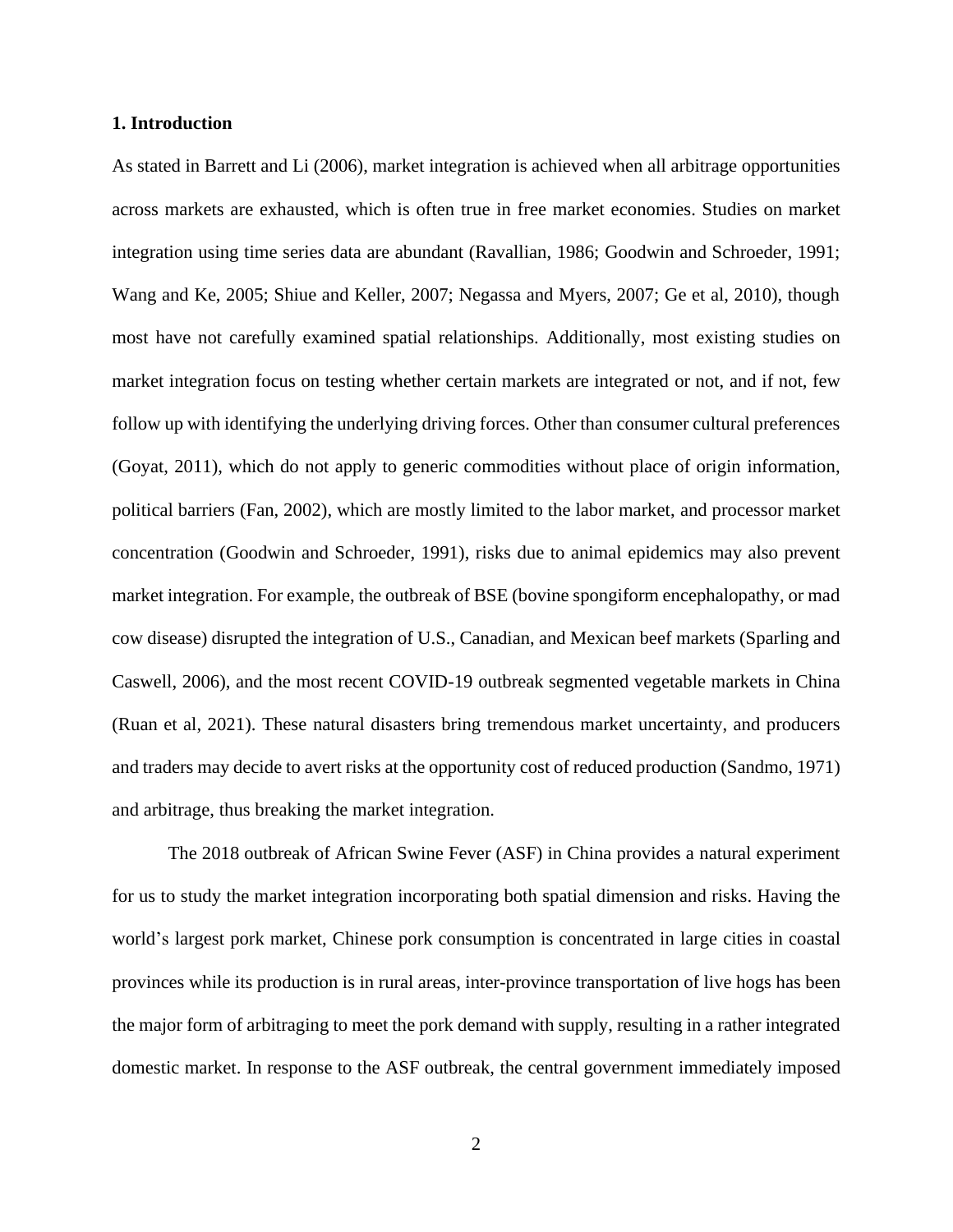#### **1. Introduction**

As stated in Barrett and Li (2006), market integration is achieved when all arbitrage opportunities across markets are exhausted, which is often true in free market economies. Studies on market integration using time series data are abundant (Ravallian, 1986; Goodwin and Schroeder, 1991; Wang and Ke, 2005; Shiue and Keller, 2007; Negassa and Myers, 2007; Ge et al, 2010), though most have not carefully examined spatial relationships. Additionally, most existing studies on market integration focus on testing whether certain markets are integrated or not, and if not, few follow up with identifying the underlying driving forces. Other than consumer cultural preferences (Goyat, 2011), which do not apply to generic commodities without place of origin information, political barriers (Fan, 2002), which are mostly limited to the labor market, and processor market concentration (Goodwin and Schroeder, 1991), risks due to animal epidemics may also prevent market integration. For example, the outbreak of BSE (bovine spongiform encephalopathy, or mad cow disease) disrupted the integration of U.S., Canadian, and Mexican beef markets (Sparling and Caswell, 2006), and the most recent COVID-19 outbreak segmented vegetable markets in China (Ruan et al, 2021). These natural disasters bring tremendous market uncertainty, and producers and traders may decide to avert risks at the opportunity cost of reduced production (Sandmo, 1971) and arbitrage, thus breaking the market integration.

The 2018 outbreak of African Swine Fever (ASF) in China provides a natural experiment for us to study the market integration incorporating both spatial dimension and risks. Having the world's largest pork market, Chinese pork consumption is concentrated in large cities in coastal provinces while its production is in rural areas, inter-province transportation of live hogs has been the major form of arbitraging to meet the pork demand with supply, resulting in a rather integrated domestic market. In response to the ASF outbreak, the central government immediately imposed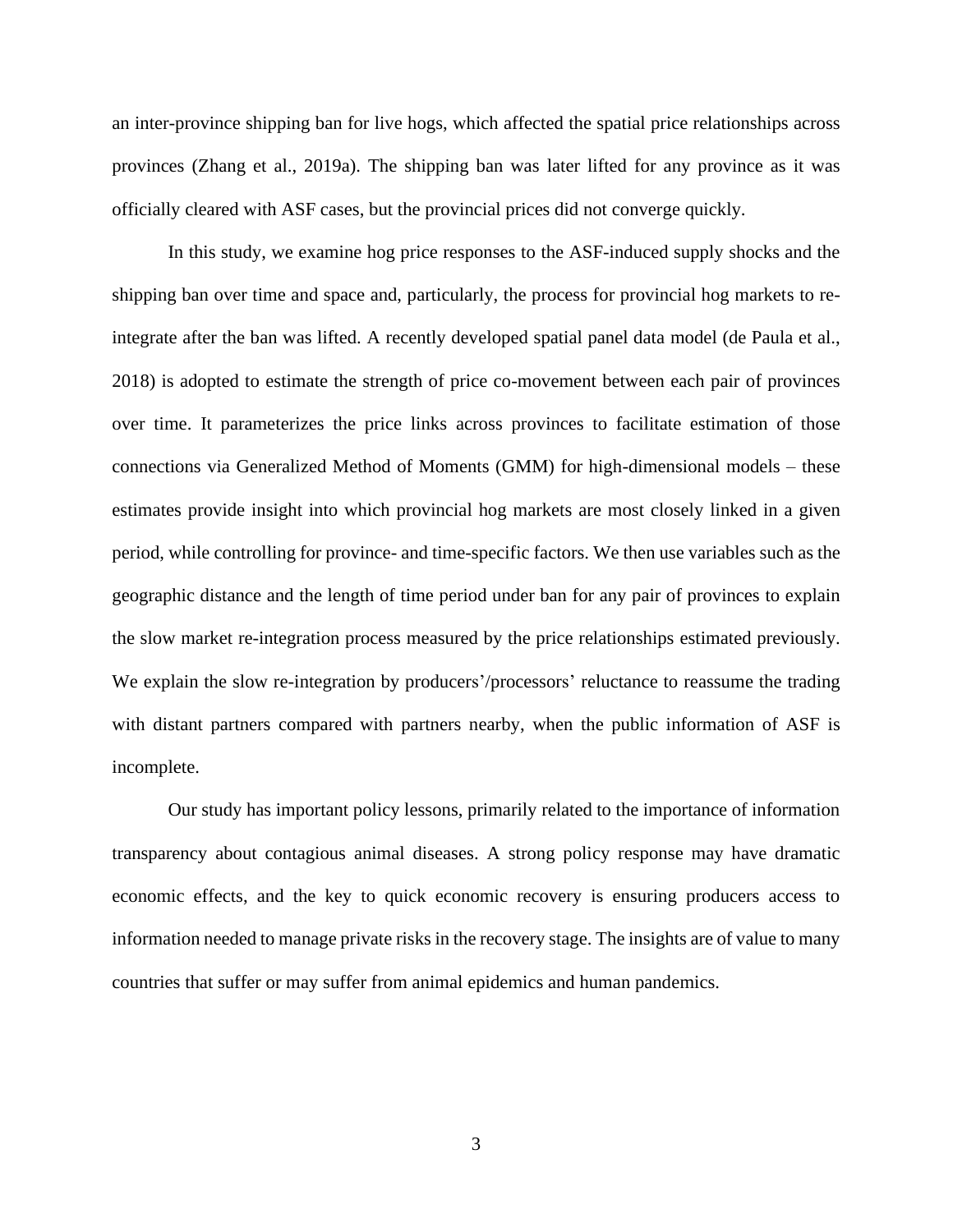an inter-province shipping ban for live hogs, which affected the spatial price relationships across provinces (Zhang et al., 2019a). The shipping ban was later lifted for any province as it was officially cleared with ASF cases, but the provincial prices did not converge quickly.

In this study, we examine hog price responses to the ASF-induced supply shocks and the shipping ban over time and space and, particularly, the process for provincial hog markets to reintegrate after the ban was lifted. A recently developed spatial panel data model (de Paula et al., 2018) is adopted to estimate the strength of price co-movement between each pair of provinces over time. It parameterizes the price links across provinces to facilitate estimation of those connections via Generalized Method of Moments (GMM) for high-dimensional models – these estimates provide insight into which provincial hog markets are most closely linked in a given period, while controlling for province- and time-specific factors. We then use variables such as the geographic distance and the length of time period under ban for any pair of provinces to explain the slow market re-integration process measured by the price relationships estimated previously. We explain the slow re-integration by producers'/processors' reluctance to reassume the trading with distant partners compared with partners nearby, when the public information of ASF is incomplete.

Our study has important policy lessons, primarily related to the importance of information transparency about contagious animal diseases. A strong policy response may have dramatic economic effects, and the key to quick economic recovery is ensuring producers access to information needed to manage private risks in the recovery stage. The insights are of value to many countries that suffer or may suffer from animal epidemics and human pandemics.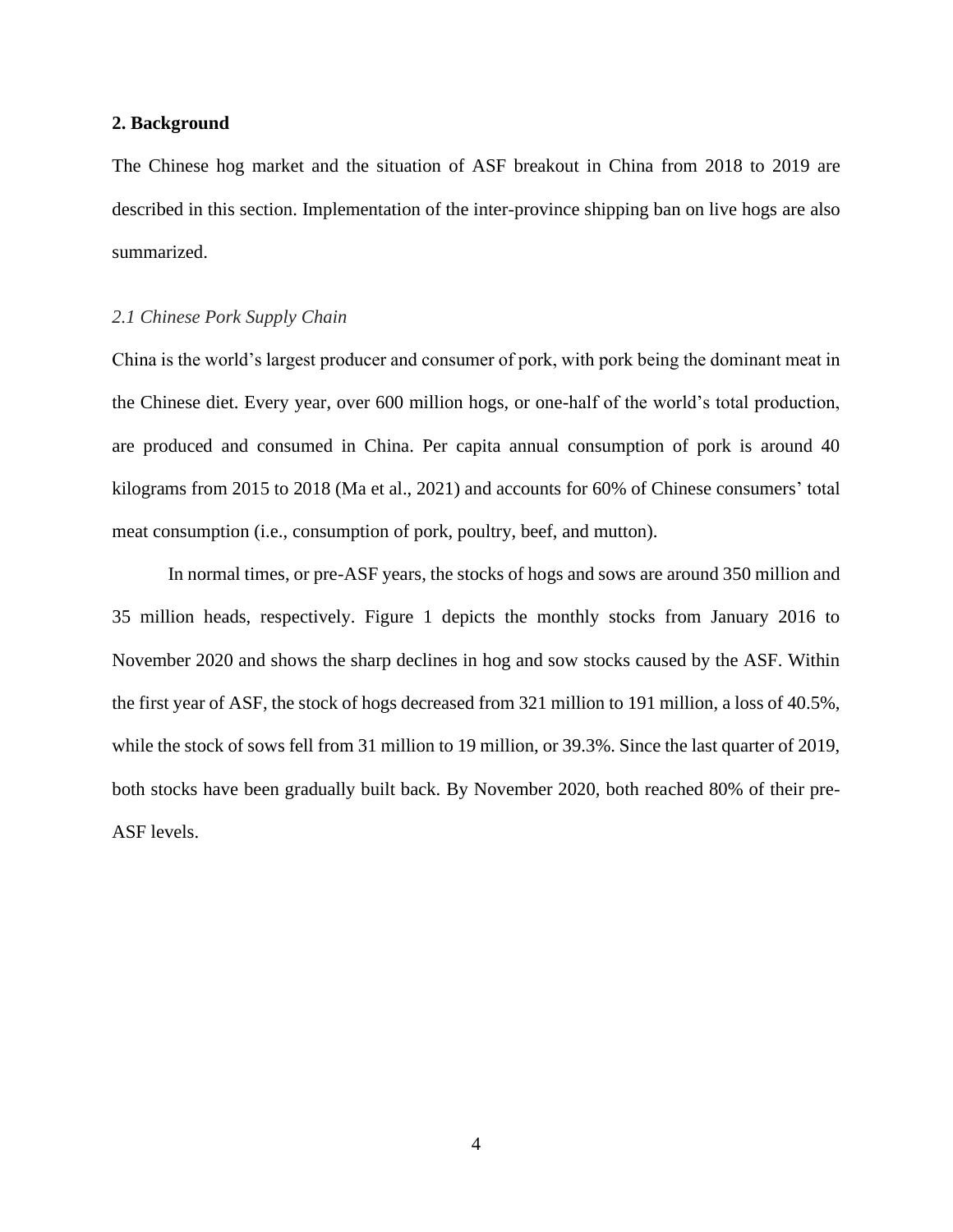#### **2. Background**

The Chinese hog market and the situation of ASF breakout in China from 2018 to 2019 are described in this section. Implementation of the inter-province shipping ban on live hogs are also summarized.

## *2.1 Chinese Pork Supply Chain*

China is the world's largest producer and consumer of pork, with pork being the dominant meat in the Chinese diet. Every year, over 600 million hogs, or one-half of the world's total production, are produced and consumed in China. Per capita annual consumption of pork is around 40 kilograms from 2015 to 2018 (Ma et al., 2021) and accounts for 60% of Chinese consumers' total meat consumption (i.e., consumption of pork, poultry, beef, and mutton).

In normal times, or pre-ASF years, the stocks of hogs and sows are around 350 million and 35 million heads, respectively. Figure 1 depicts the monthly stocks from January 2016 to November 2020 and shows the sharp declines in hog and sow stocks caused by the ASF. Within the first year of ASF, the stock of hogs decreased from 321 million to 191 million, a loss of 40.5%, while the stock of sows fell from 31 million to 19 million, or 39.3%. Since the last quarter of 2019, both stocks have been gradually built back. By November 2020, both reached 80% of their pre-ASF levels.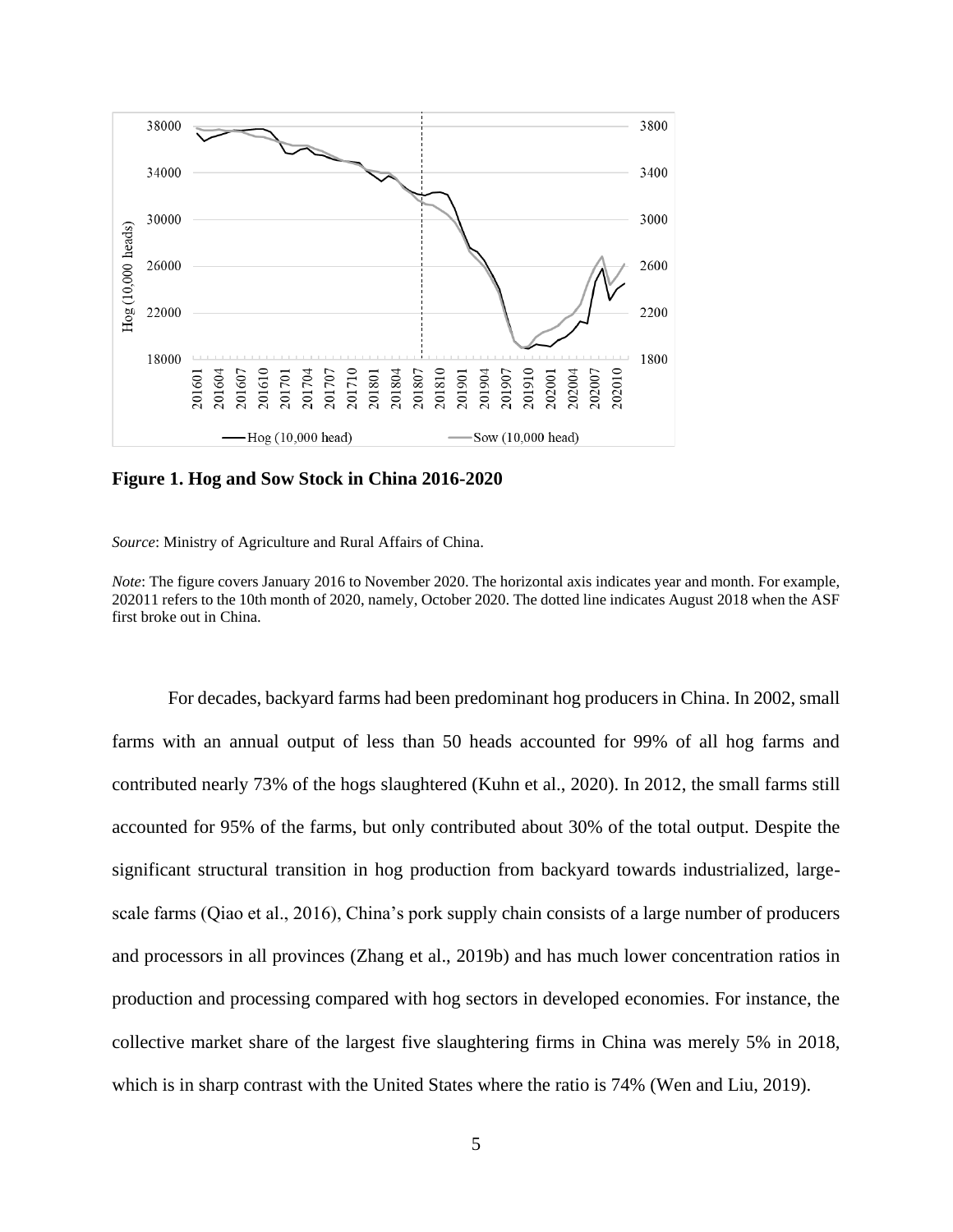

**Figure 1. Hog and Sow Stock in China 2016-2020**

*Source*: [Ministry](http://www.moa.gov.cn/) of Agriculture and Rural Affairs of China.

*Note*: The figure covers January 2016 to November 2020. The horizontal axis indicates year and month. For example, 202011 refers to the 10th month of 2020, namely, October 2020. The dotted line indicates August 2018 when the ASF first broke out in China.

For decades, backyard farms had been predominant hog producers in China. In 2002, small farms with an annual output of less than 50 heads accounted for 99% of all hog farms and contributed nearly 73% of the hogs slaughtered (Kuhn et al., 2020). In 2012, the small farms still accounted for 95% of the farms, but only contributed about 30% of the total output. Despite the significant structural transition in hog production from backyard towards industrialized, largescale farms (Qiao et al., 2016), China's pork supply chain consists of a large number of producers and processors in all provinces (Zhang et al., 2019b) and has much lower concentration ratios in production and processing compared with hog sectors in developed economies. For instance, the collective market share of the largest five slaughtering firms in China was merely 5% in 2018, which is in sharp contrast with the United States where the ratio is 74% (Wen and Liu, 2019).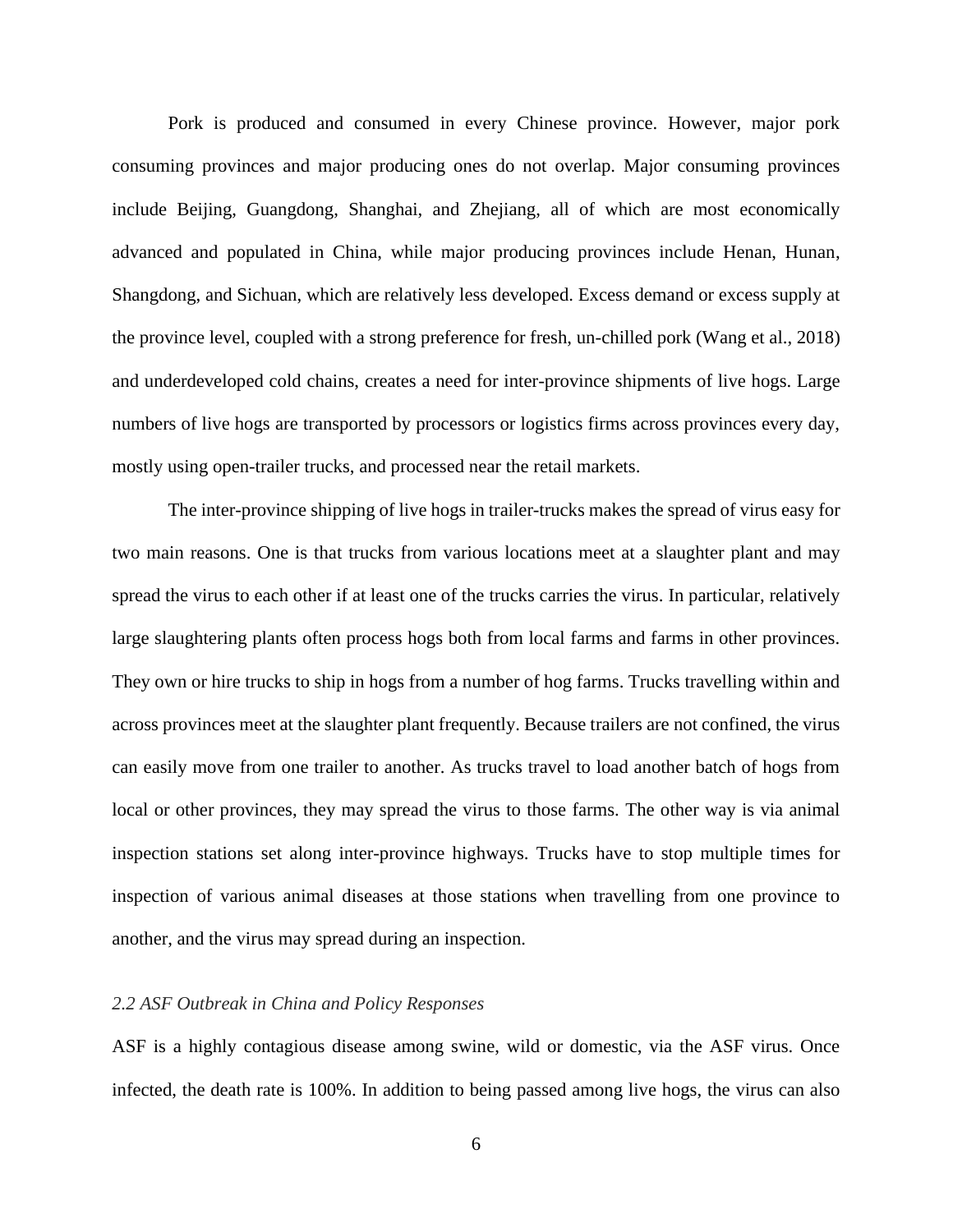Pork is produced and consumed in every Chinese province. However, major pork consuming provinces and major producing ones do not overlap. Major consuming provinces include Beijing, Guangdong, Shanghai, and Zhejiang, all of which are most economically advanced and populated in China, while major producing provinces include Henan, Hunan, Shangdong, and Sichuan, which are relatively less developed. Excess demand or excess supply at the province level, coupled with a strong preference for fresh, un-chilled pork (Wang et al., 2018) and underdeveloped cold chains, creates a need for inter-province shipments of live hogs. Large numbers of live hogs are transported by processors or logistics firms across provinces every day, mostly using open-trailer trucks, and processed near the retail markets.

The inter-province shipping of live hogs in trailer-trucks makes the spread of virus easy for two main reasons. One is that trucks from various locations meet at a slaughter plant and may spread the virus to each other if at least one of the trucks carries the virus. In particular, relatively large slaughtering plants often process hogs both from local farms and farms in other provinces. They own or hire trucks to ship in hogs from a number of hog farms. Trucks travelling within and across provinces meet at the slaughter plant frequently. Because trailers are not confined, the virus can easily move from one trailer to another. As trucks travel to load another batch of hogs from local or other provinces, they may spread the virus to those farms. The other way is via animal inspection stations set along inter-province highways. Trucks have to stop multiple times for inspection of various animal diseases at those stations when travelling from one province to another, and the virus may spread during an inspection.

## *2.2 ASF Outbreak in China and Policy Responses*

ASF is a highly contagious disease among swine, wild or domestic, via the ASF virus. Once infected, the death rate is 100%. In addition to being passed among live hogs, the virus can also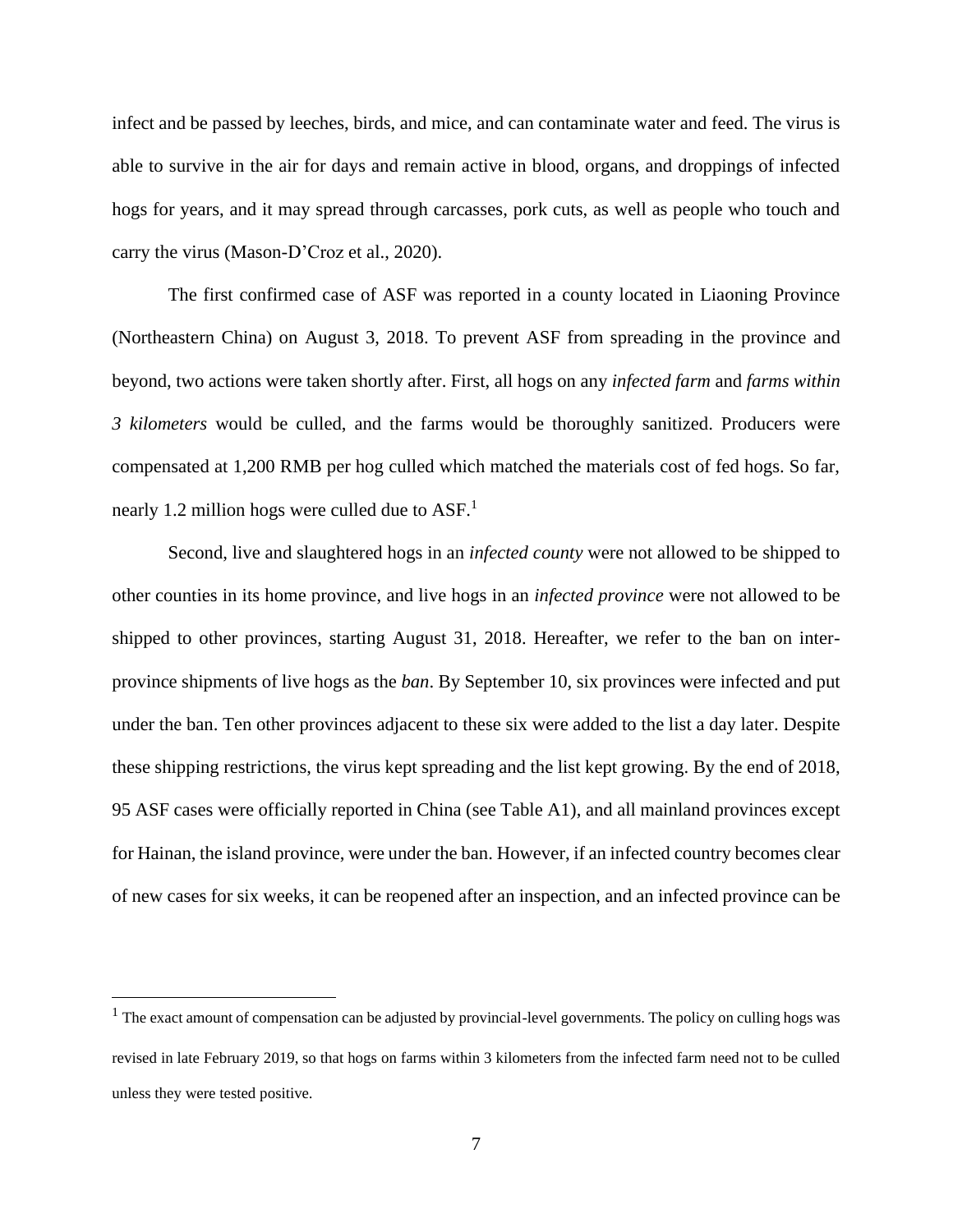infect and be passed by leeches, birds, and mice, and can contaminate water and feed. The virus is able to survive in the air for days and remain active in blood, organs, and droppings of infected hogs for years, and it may spread through carcasses, pork cuts, as well as people who touch and carry the virus (Mason-D'Croz et al., 2020).

The first confirmed case of ASF was reported in a county located in Liaoning Province (Northeastern China) on August 3, 2018. To prevent ASF from spreading in the province and beyond, two actions were taken shortly after. First, all hogs on any *infected farm* and *farms within 3 kilometers* would be culled, and the farms would be thoroughly sanitized. Producers were compensated at 1,200 RMB per hog culled which matched the materials cost of fed hogs. So far, nearly 1.2 million hogs were culled due to ASF.<sup>1</sup>

Second, live and slaughtered hogs in an *infected county* were not allowed to be shipped to other counties in its home province, and live hogs in an *infected province* were not allowed to be shipped to other provinces, starting August 31, 2018. Hereafter, we refer to the ban on interprovince shipments of live hogs as the *ban*. By September 10, six provinces were infected and put under the ban. Ten other provinces adjacent to these six were added to the list a day later. Despite these shipping restrictions, the virus kept spreading and the list kept growing. By the end of 2018, 95 ASF cases were officially reported in China (see Table A1), and all mainland provinces except for Hainan, the island province, were under the ban. However, if an infected country becomes clear of new cases for six weeks, it can be reopened after an inspection, and an infected province can be

 $<sup>1</sup>$  The exact amount of compensation can be adjusted by provincial-level governments. The policy on culling hogs was</sup> revised in late February 2019, so that hogs on farms within 3 kilometers from the infected farm need not to be culled unless they were tested positive.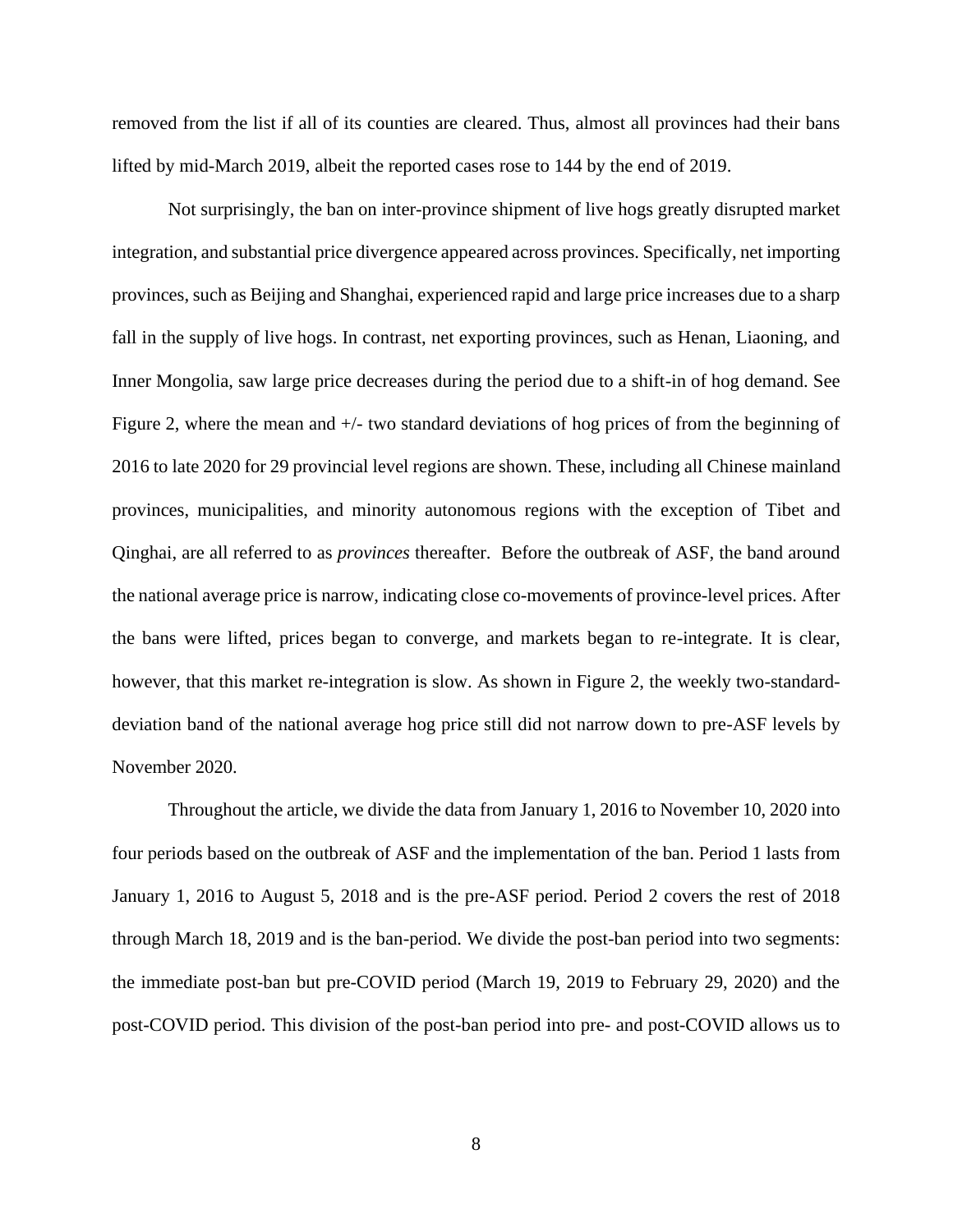removed from the list if all of its counties are cleared. Thus, almost all provinces had their bans lifted by mid-March 2019, albeit the reported cases rose to 144 by the end of 2019.

Not surprisingly, the ban on inter-province shipment of live hogs greatly disrupted market integration, and substantial price divergence appeared across provinces. Specifically, net importing provinces, such as Beijing and Shanghai, experienced rapid and large price increases due to a sharp fall in the supply of live hogs. In contrast, net exporting provinces, such as Henan, Liaoning, and Inner Mongolia, saw large price decreases during the period due to a shift-in of hog demand. See Figure 2, where the mean and  $+/-$  two standard deviations of hog prices of from the beginning of 2016 to late 2020 for 29 provincial level regions are shown. These, including all Chinese mainland provinces, municipalities, and minority autonomous regions with the exception of Tibet and Qinghai, are all referred to as *provinces* thereafter. Before the outbreak of ASF, the band around the national average price is narrow, indicating close co-movements of province-level prices. After the bans were lifted, prices began to converge, and markets began to re-integrate. It is clear, however, that this market re-integration is slow. As shown in Figure 2, the weekly two-standarddeviation band of the national average hog price still did not narrow down to pre-ASF levels by November 2020.

Throughout the article, we divide the data from January 1, 2016 to November 10, 2020 into four periods based on the outbreak of ASF and the implementation of the ban. Period 1 lasts from January 1, 2016 to August 5, 2018 and is the pre-ASF period. Period 2 covers the rest of 2018 through March 18, 2019 and is the ban-period. We divide the post-ban period into two segments: the immediate post-ban but pre-COVID period (March 19, 2019 to February 29, 2020) and the post-COVID period. This division of the post-ban period into pre- and post-COVID allows us to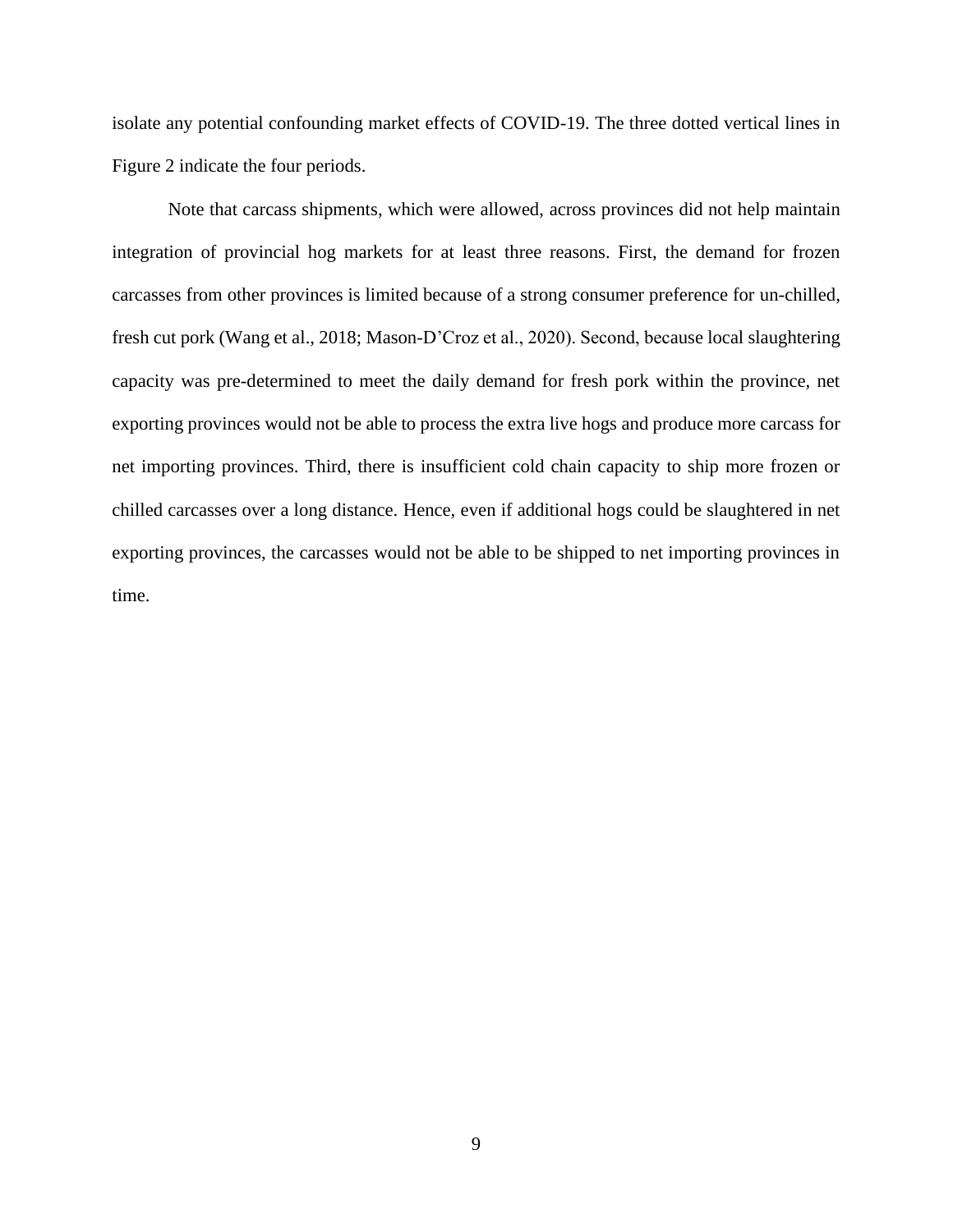isolate any potential confounding market effects of COVID-19. The three dotted vertical lines in Figure 2 indicate the four periods.

Note that carcass shipments, which were allowed, across provinces did not help maintain integration of provincial hog markets for at least three reasons. First, the demand for frozen carcasses from other provinces is limited because of a strong consumer preference for un-chilled, fresh cut pork (Wang et al., 2018; Mason-D'Croz et al., 2020). Second, because local slaughtering capacity was pre-determined to meet the daily demand for fresh pork within the province, net exporting provinces would not be able to process the extra live hogs and produce more carcass for net importing provinces. Third, there is insufficient cold chain capacity to ship more frozen or chilled carcasses over a long distance. Hence, even if additional hogs could be slaughtered in net exporting provinces, the carcasses would not be able to be shipped to net importing provinces in time.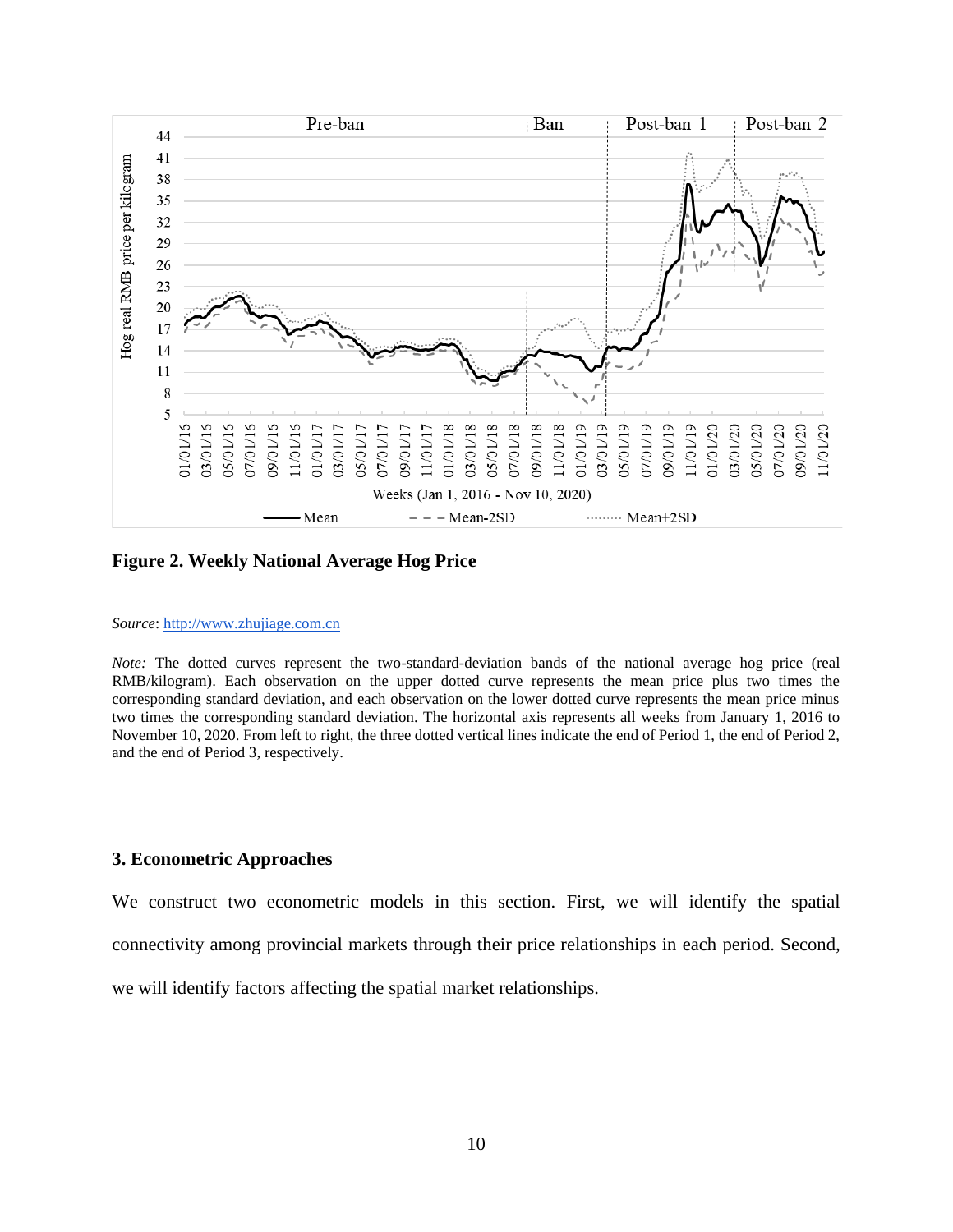

**Figure 2. Weekly National Average Hog Price**

#### *Source*: [http://www.zhujiage.com.cn](http://www.zhujiage.com.cn/)

*Note:* The dotted curves represent the two-standard-deviation bands of the national average hog price (real RMB/kilogram). Each observation on the upper dotted curve represents the mean price plus two times the corresponding standard deviation, and each observation on the lower dotted curve represents the mean price minus two times the corresponding standard deviation. The horizontal axis represents all weeks from January 1, 2016 to November 10, 2020. From left to right, the three dotted vertical lines indicate the end of Period 1, the end of Period 2, and the end of Period 3, respectively.

## **3. Econometric Approaches**

We construct two econometric models in this section. First, we will identify the spatial connectivity among provincial markets through their price relationships in each period. Second,

we will identify factors affecting the spatial market relationships.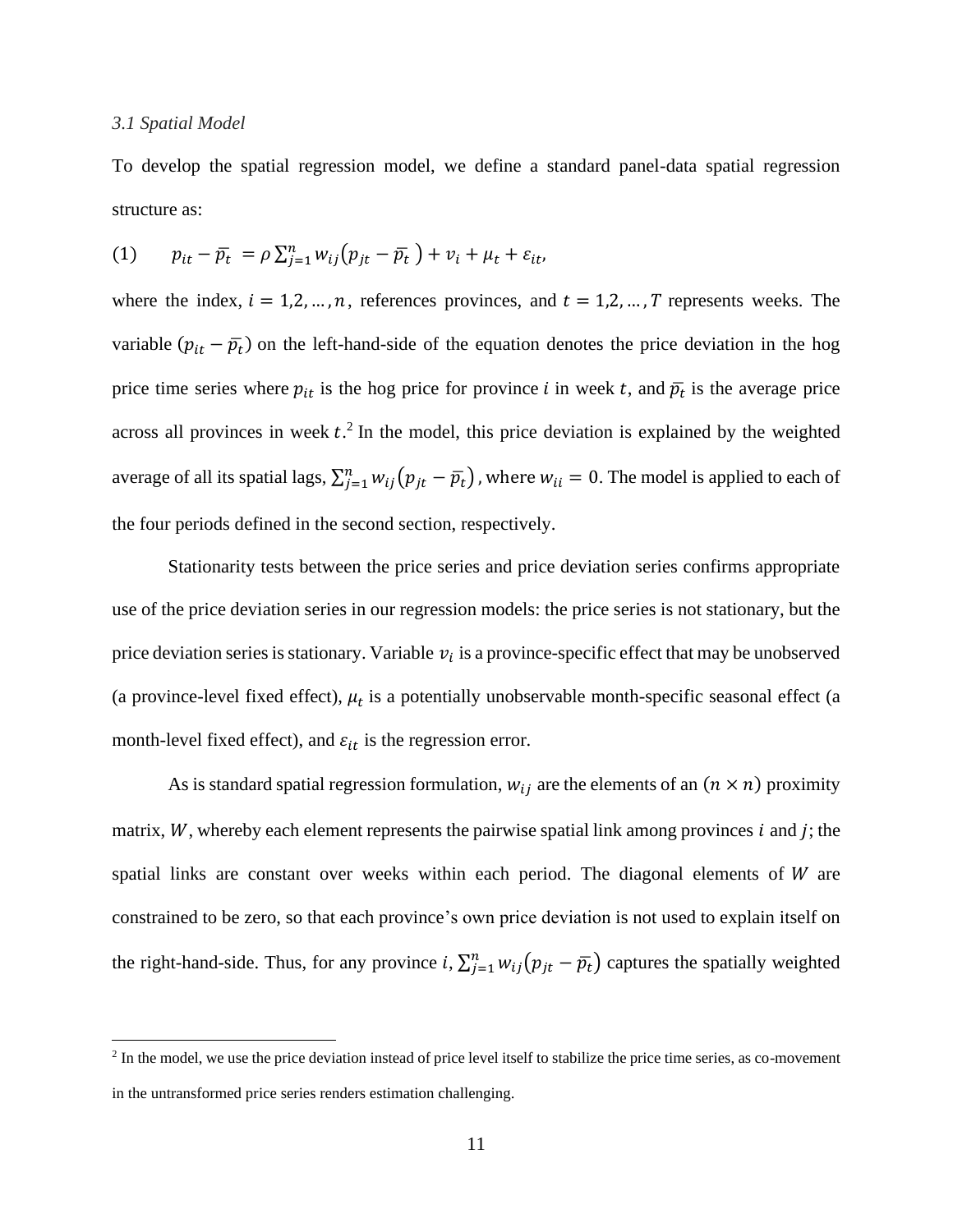#### *3.1 Spatial Model*

To develop the spatial regression model, we define a standard panel-data spatial regression structure as:

(1) 
$$
p_{it} - \overline{p}_t = \rho \sum_{j=1}^n w_{ij} (p_{jt} - \overline{p}_t) + v_i + \mu_t + \varepsilon_{it},
$$

where the index,  $i = 1, 2, ..., n$ , references provinces, and  $t = 1, 2, ..., T$  represents weeks. The variable  $(p_{it} - \bar{p}_t)$  on the left-hand-side of the equation denotes the price deviation in the hog price time series where  $p_{it}$  is the hog price for province *i* in week *t*, and  $\bar{p}_t$  is the average price across all provinces in week  $t^2$ . In the model, this price deviation is explained by the weighted average of all its spatial lags,  $\sum_{j=1}^{n} w_{ij} (p_{jt} - \bar{p_t})$ , where  $w_{ii} = 0$ . The model is applied to each of the four periods defined in the second section, respectively.

Stationarity tests between the price series and price deviation series confirms appropriate use of the price deviation series in our regression models: the price series is not stationary, but the price deviation series is stationary. Variable  $v_i$  is a province-specific effect that may be unobserved (a province-level fixed effect),  $\mu_t$  is a potentially unobservable month-specific seasonal effect (a month-level fixed effect), and  $\varepsilon_{it}$  is the regression error.

As is standard spatial regression formulation,  $w_{ij}$  are the elements of an  $(n \times n)$  proximity matrix,  $W$ , whereby each element represents the pairwise spatial link among provinces  $i$  and  $j$ ; the spatial links are constant over weeks within each period. The diagonal elements of  $W$  are constrained to be zero, so that each province's own price deviation is not used to explain itself on the right-hand-side. Thus, for any province  $i$ ,  $\sum_{j=1}^{n} w_{ij} (p_{jt} - \overline{p_t})$  captures the spatially weighted

 $<sup>2</sup>$  In the model, we use the price deviation instead of price level itself to stabilize the price time series, as co-movement</sup> in the untransformed price series renders estimation challenging.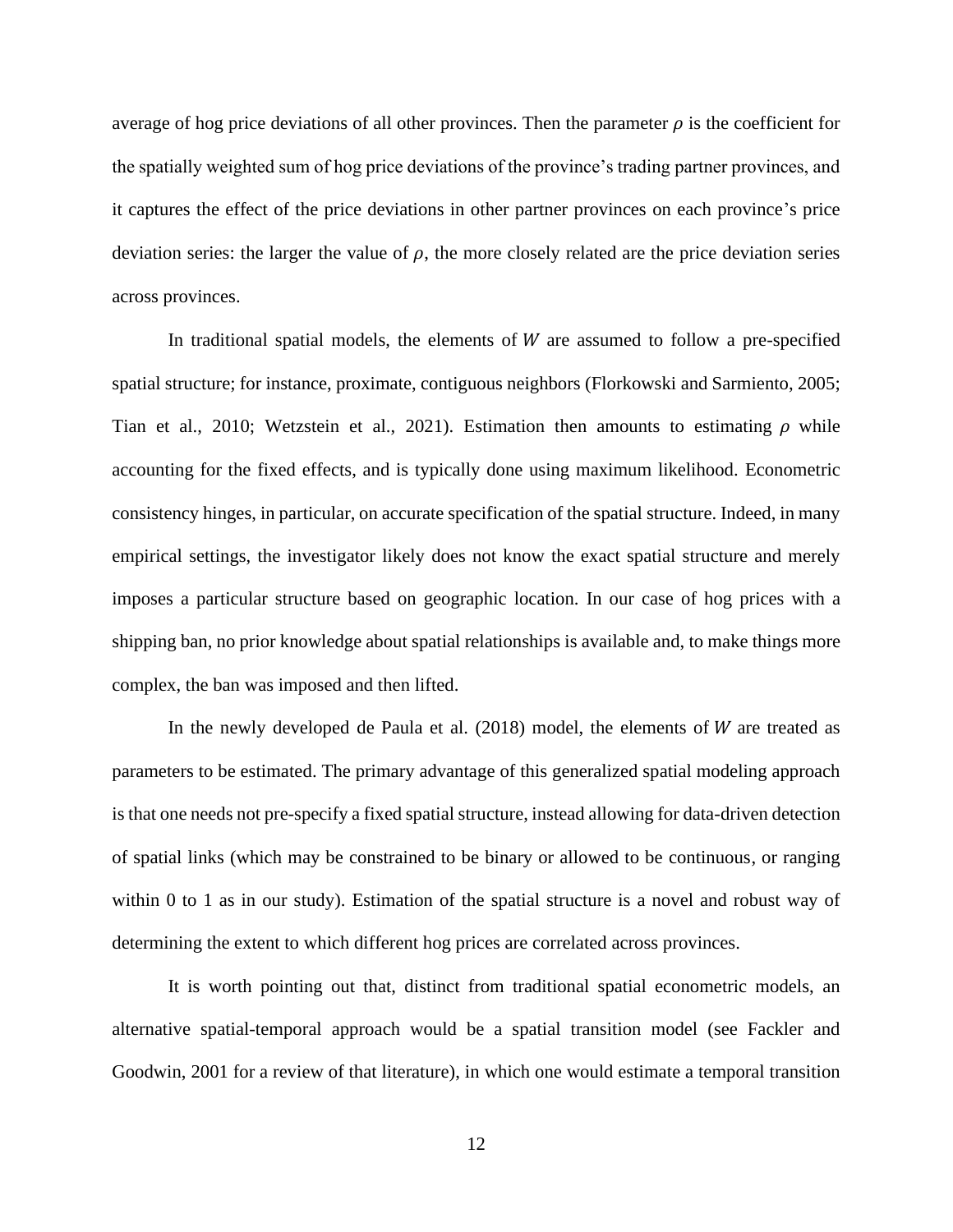average of hog price deviations of all other provinces. Then the parameter  $\rho$  is the coefficient for the spatially weighted sum of hog price deviations of the province's trading partner provinces, and it captures the effect of the price deviations in other partner provinces on each province's price deviation series: the larger the value of  $\rho$ , the more closely related are the price deviation series across provinces.

In traditional spatial models, the elements of  $W$  are assumed to follow a pre-specified spatial structure; for instance, proximate, contiguous neighbors (Florkowski and Sarmiento, 2005; Tian et al., 2010; Wetzstein et al., 2021). Estimation then amounts to estimating  $\rho$  while accounting for the fixed effects, and is typically done using maximum likelihood. Econometric consistency hinges, in particular, on accurate specification of the spatial structure. Indeed, in many empirical settings, the investigator likely does not know the exact spatial structure and merely imposes a particular structure based on geographic location. In our case of hog prices with a shipping ban, no prior knowledge about spatial relationships is available and, to make things more complex, the ban was imposed and then lifted.

In the newly developed de Paula et al.  $(2018)$  model, the elements of *W* are treated as parameters to be estimated. The primary advantage of this generalized spatial modeling approach is that one needs not pre-specify a fixed spatial structure, instead allowing for data-driven detection of spatial links (which may be constrained to be binary or allowed to be continuous, or ranging within 0 to 1 as in our study). Estimation of the spatial structure is a novel and robust way of determining the extent to which different hog prices are correlated across provinces.

It is worth pointing out that, distinct from traditional spatial econometric models, an alternative spatial-temporal approach would be a spatial transition model (see Fackler and Goodwin, 2001 for a review of that literature), in which one would estimate a temporal transition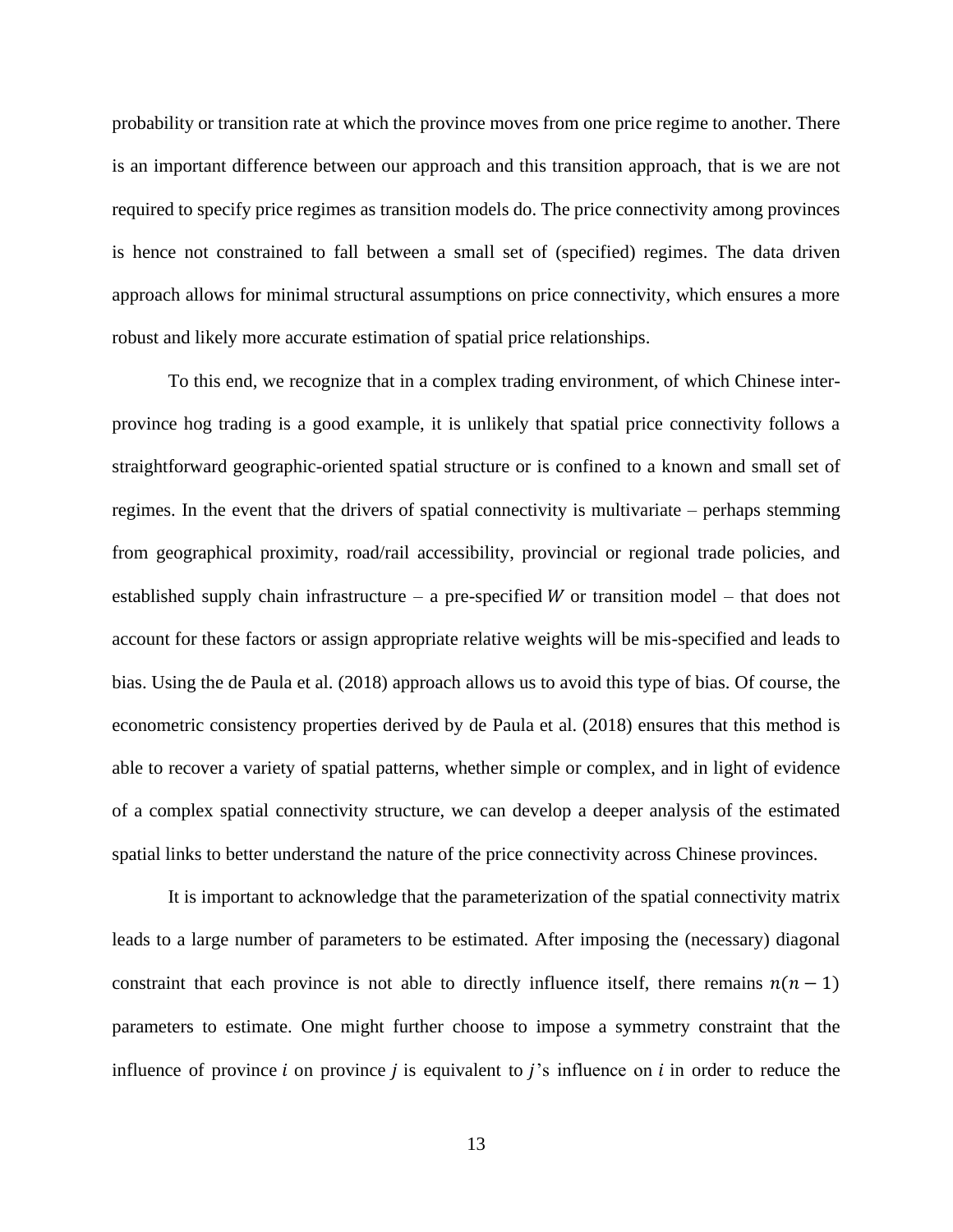probability or transition rate at which the province moves from one price regime to another. There is an important difference between our approach and this transition approach, that is we are not required to specify price regimes as transition models do. The price connectivity among provinces is hence not constrained to fall between a small set of (specified) regimes. The data driven approach allows for minimal structural assumptions on price connectivity, which ensures a more robust and likely more accurate estimation of spatial price relationships.

To this end, we recognize that in a complex trading environment, of which Chinese interprovince hog trading is a good example, it is unlikely that spatial price connectivity follows a straightforward geographic-oriented spatial structure or is confined to a known and small set of regimes. In the event that the drivers of spatial connectivity is multivariate – perhaps stemming from geographical proximity, road/rail accessibility, provincial or regional trade policies, and established supply chain infrastructure – a pre-specified  $W$  or transition model – that does not account for these factors or assign appropriate relative weights will be mis-specified and leads to bias. Using the de Paula et al. (2018) approach allows us to avoid this type of bias. Of course, the econometric consistency properties derived by de Paula et al. (2018) ensures that this method is able to recover a variety of spatial patterns, whether simple or complex, and in light of evidence of a complex spatial connectivity structure, we can develop a deeper analysis of the estimated spatial links to better understand the nature of the price connectivity across Chinese provinces.

It is important to acknowledge that the parameterization of the spatial connectivity matrix leads to a large number of parameters to be estimated. After imposing the (necessary) diagonal constraint that each province is not able to directly influence itself, there remains  $n(n - 1)$ parameters to estimate. One might further choose to impose a symmetry constraint that the influence of province  $i$  on province  $j$  is equivalent to  $j$ 's influence on  $i$  in order to reduce the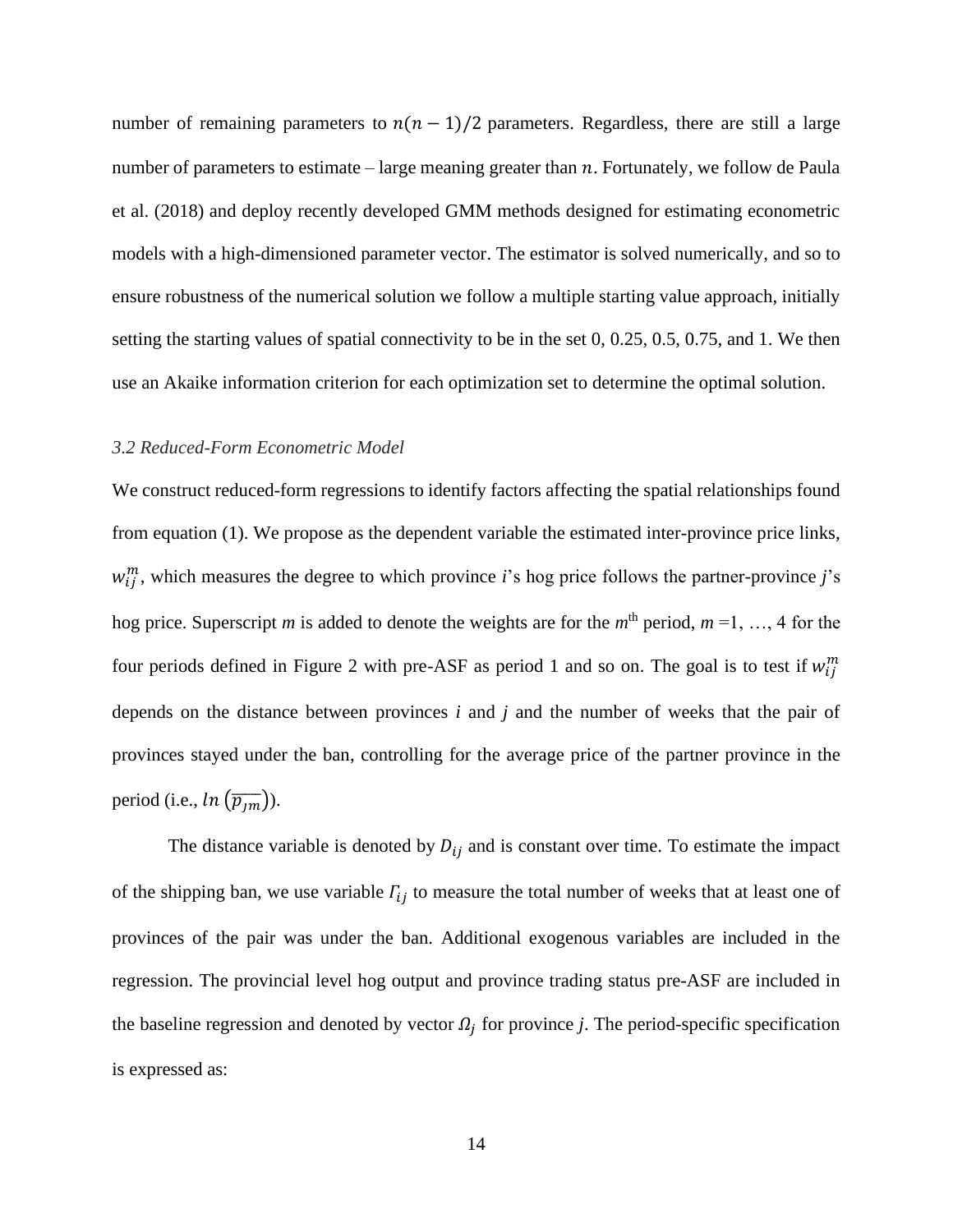number of remaining parameters to  $n(n - 1)/2$  parameters. Regardless, there are still a large number of parameters to estimate – large meaning greater than  $n$ . Fortunately, we follow de Paula et al. (2018) and deploy recently developed GMM methods designed for estimating econometric models with a high-dimensioned parameter vector. The estimator is solved numerically, and so to ensure robustness of the numerical solution we follow a multiple starting value approach, initially setting the starting values of spatial connectivity to be in the set 0, 0.25, 0.5, 0.75, and 1. We then use an Akaike information criterion for each optimization set to determine the optimal solution.

#### *3.2 Reduced-Form Econometric Model*

We construct reduced-form regressions to identify factors affecting the spatial relationships found from equation (1). We propose as the dependent variable the estimated inter-province price links,  $w_{ij}^m$ , which measures the degree to which province *i*'s hog price follows the partner-province *j*'s hog price. Superscript *m* is added to denote the weights are for the  $m<sup>th</sup>$  period,  $m = 1, ..., 4$  for the four periods defined in Figure 2 with pre-ASF as period 1 and so on. The goal is to test if  $w_{ij}^m$ depends on the distance between provinces *i* and *j* and the number of weeks that the pair of provinces stayed under the ban, controlling for the average price of the partner province in the period (i.e.,  $ln(\overline{p_{lm}})$ ).

The distance variable is denoted by  $D_{ij}$  and is constant over time. To estimate the impact of the shipping ban, we use variable  $\Gamma_{ij}$  to measure the total number of weeks that at least one of provinces of the pair was under the ban. Additional exogenous variables are included in the regression. The provincial level hog output and province trading status pre-ASF are included in the baseline regression and denoted by vector  $\Omega_j$  for province *j*. The period-specific specification is expressed as: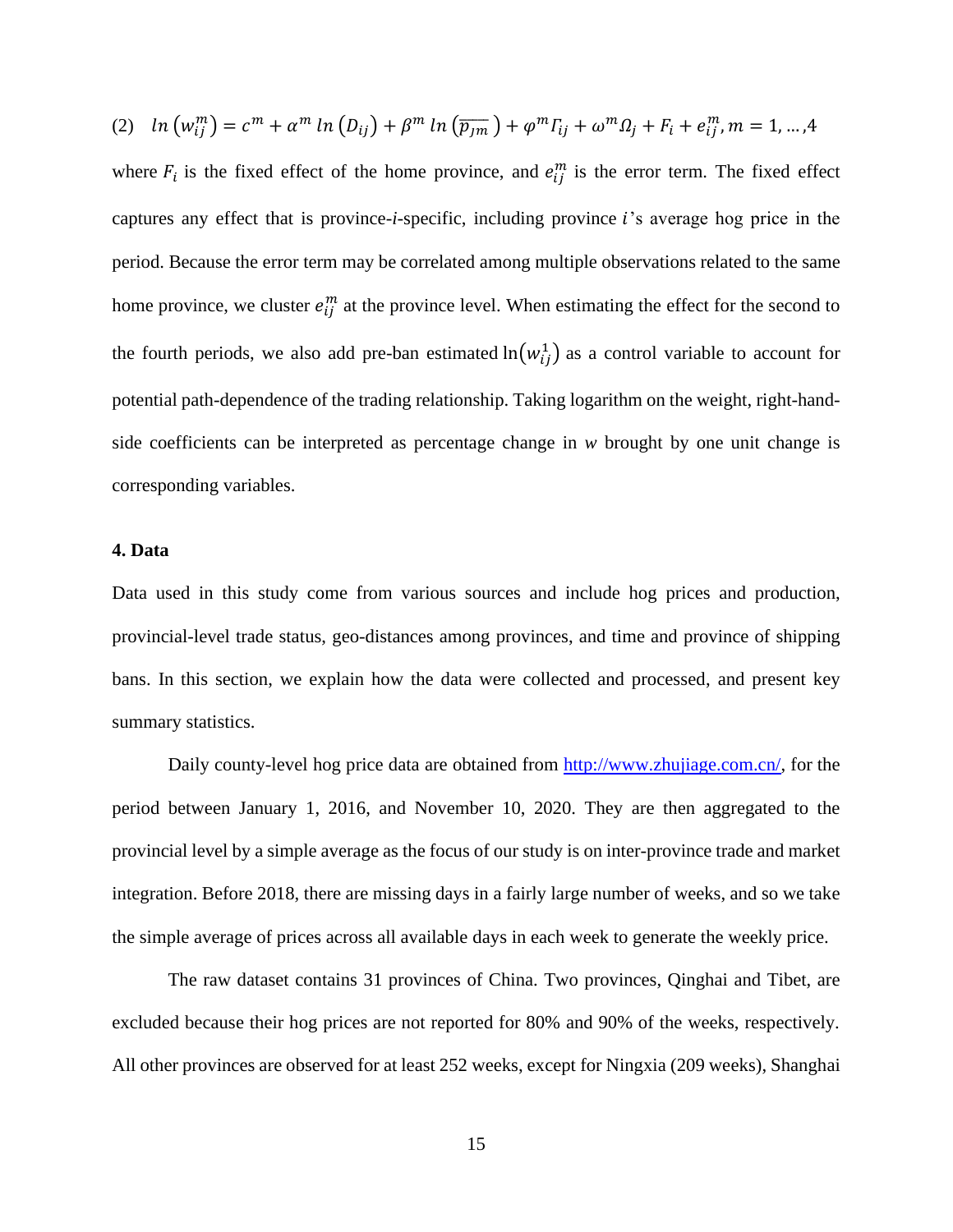$$
(2) \quad ln\left(w_{ij}^m\right) = c^m + \alpha^m \ln\left(D_{ij}\right) + \beta^m \ln\left(\overline{p_{jm}}\right) + \varphi^m \Gamma_{ij} + \omega^m \Omega_j + F_i + e_{ij}^m, m = 1, \dots, 4
$$

where  $F_i$  is the fixed effect of the home province, and  $e_{ij}^m$  is the error term. The fixed effect captures any effect that is province-*i*-specific, including province *i*'s average hog price in the period. Because the error term may be correlated among multiple observations related to the same home province, we cluster  $e_{ij}^m$  at the province level. When estimating the effect for the second to the fourth periods, we also add pre-ban estimated  $ln(w_{ij}^1)$  as a control variable to account for potential path-dependence of the trading relationship. Taking logarithm on the weight, right-handside coefficients can be interpreted as percentage change in *w* brought by one unit change is corresponding variables.

## **4. Data**

Data used in this study come from various sources and include hog prices and production, provincial-level trade status, geo-distances among provinces, and time and province of shipping bans. In this section, we explain how the data were collected and processed, and present key summary statistics.

Daily county-level hog price data are obtained from [http://www.zhujiage.com.cn/,](http://www.zhujiage.com.cn/) for the period between January 1, 2016, and November 10, 2020. They are then aggregated to the provincial level by a simple average as the focus of our study is on inter-province trade and market integration. Before 2018, there are missing days in a fairly large number of weeks, and so we take the simple average of prices across all available days in each week to generate the weekly price.

The raw dataset contains 31 provinces of China. Two provinces, Qinghai and Tibet, are excluded because their hog prices are not reported for 80% and 90% of the weeks, respectively. All other provinces are observed for at least 252 weeks, except for Ningxia (209 weeks), Shanghai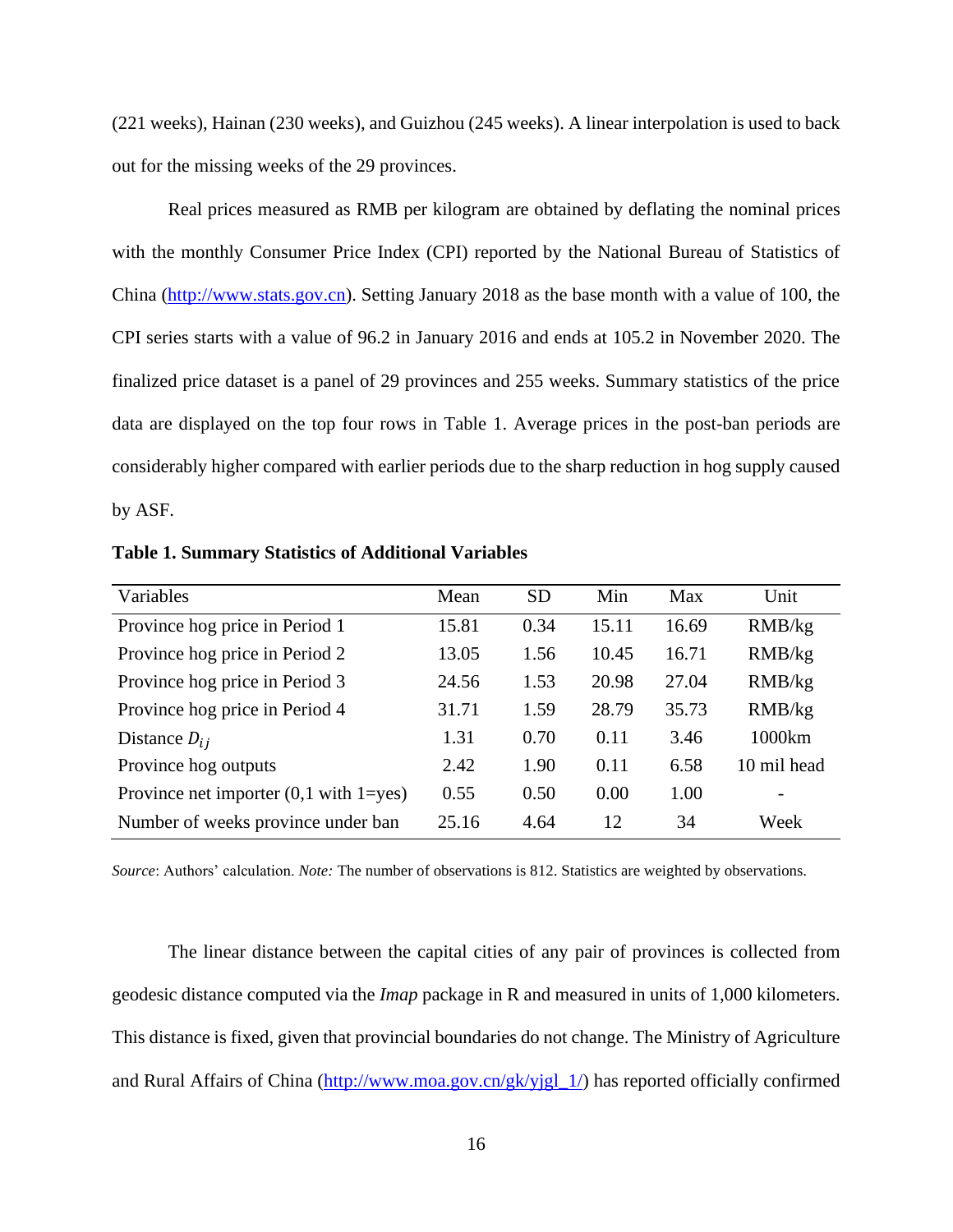(221 weeks), Hainan (230 weeks), and Guizhou (245 weeks). A linear interpolation is used to back out for the missing weeks of the 29 provinces.

Real prices measured as RMB per kilogram are obtained by deflating the nominal prices with the monthly Consumer Price Index (CPI) reported by the National Bureau of Statistics of China [\(http://www.stats.gov.cn\)](http://www.stats.gov.cn/). Setting January 2018 as the base month with a value of 100, the CPI series starts with a value of 96.2 in January 2016 and ends at 105.2 in November 2020. The finalized price dataset is a panel of 29 provinces and 255 weeks. Summary statistics of the price data are displayed on the top four rows in Table 1. Average prices in the post-ban periods are considerably higher compared with earlier periods due to the sharp reduction in hog supply caused by ASF.

| Variables                                           | Mean  | <b>SD</b> | Min   | Max   | Unit                     |
|-----------------------------------------------------|-------|-----------|-------|-------|--------------------------|
| Province hog price in Period 1                      | 15.81 | 0.34      | 15.11 | 16.69 | RMB/kg                   |
| Province hog price in Period 2                      | 13.05 | 1.56      | 10.45 | 16.71 | RMB/kg                   |
| Province hog price in Period 3                      | 24.56 | 1.53      | 20.98 | 27.04 | RMB/kg                   |
| Province hog price in Period 4                      | 31.71 | 1.59      | 28.79 | 35.73 | RMB/kg                   |
| Distance $D_{ij}$                                   | 1.31  | 0.70      | 0.11  | 3.46  | 1000km                   |
| Province hog outputs                                | 2.42  | 1.90      | 0.11  | 6.58  | 10 mil head              |
| Province net importer $(0,1 \text{ with } 1 = yes)$ | 0.55  | 0.50      | 0.00  | 1.00  | $\overline{\phantom{a}}$ |
| Number of weeks province under ban                  | 25.16 | 4.64      | 12    | 34    | Week                     |

**Table 1. Summary Statistics of Additional Variables**

*Source*: Authors' calculation. *Note:* The number of observations is 812. Statistics are weighted by observations.

The linear distance between the capital cities of any pair of provinces is collected from geodesic distance computed via the *Imap* package in R and measured in units of 1,000 kilometers. This distance is fixed, given that provincial boundaries do not change. The Ministry of Agriculture and Rural Affairs of China [\(http://www.moa.gov.cn/gk/yjgl\\_1/\)](http://www.moa.gov.cn/gk/yjgl_1/) has reported officially confirmed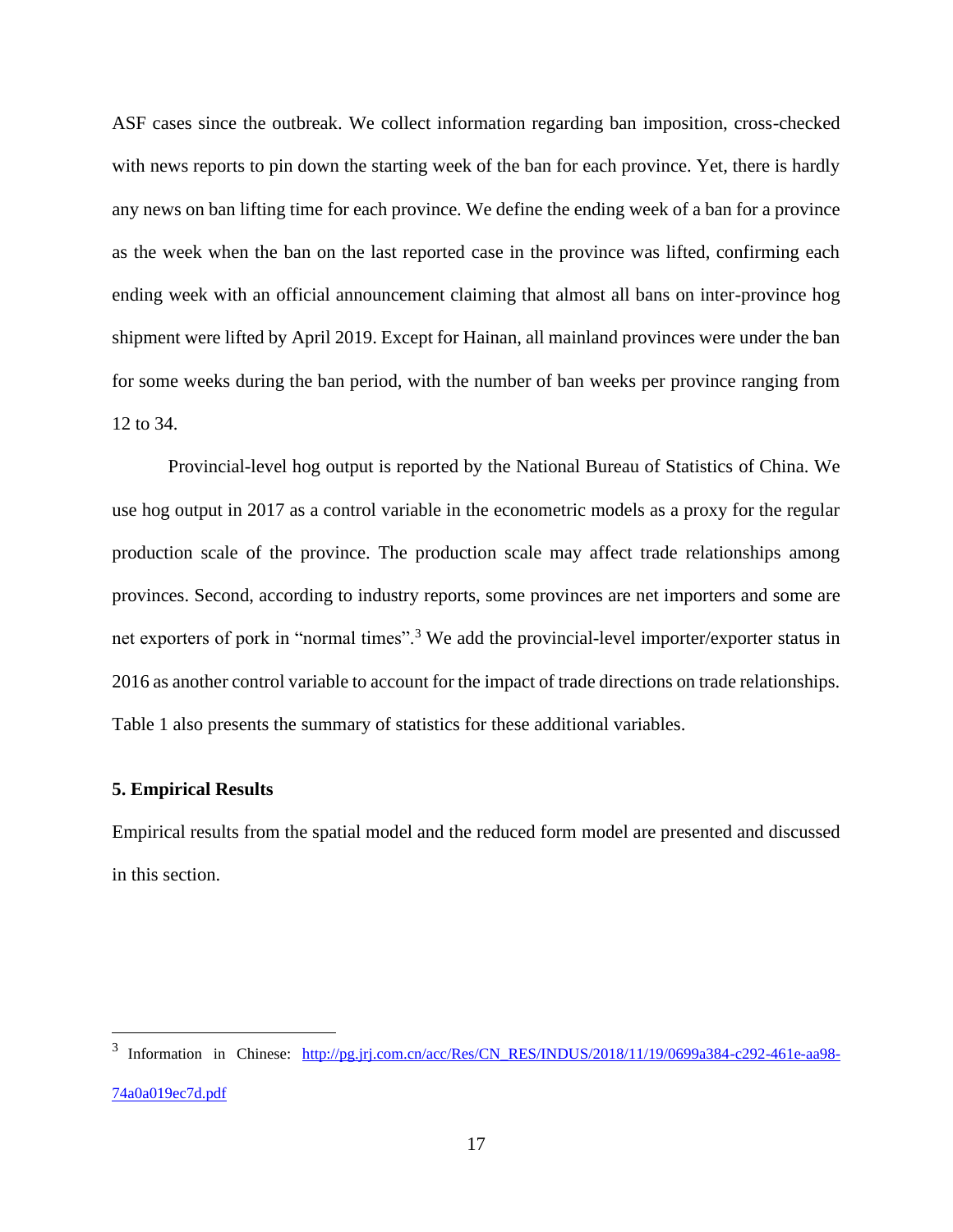ASF cases since the outbreak. We collect information regarding ban imposition, cross-checked with news reports to pin down the starting week of the ban for each province. Yet, there is hardly any news on ban lifting time for each province. We define the ending week of a ban for a province as the week when the ban on the last reported case in the province was lifted, confirming each ending week with an official announcement claiming that almost all bans on inter-province hog shipment were lifted by April 2019. Except for Hainan, all mainland provinces were under the ban for some weeks during the ban period, with the number of ban weeks per province ranging from 12 to 34.

Provincial-level hog output is reported by the National Bureau of Statistics of China. We use hog output in 2017 as a control variable in the econometric models as a proxy for the regular production scale of the province. The production scale may affect trade relationships among provinces. Second, according to industry reports, some provinces are net importers and some are net exporters of pork in "normal times".<sup>3</sup> We add the provincial-level importer/exporter status in 2016 as another control variable to account for the impact of trade directions on trade relationships. Table 1 also presents the summary of statistics for these additional variables.

## **5. Empirical Results**

Empirical results from the spatial model and the reduced form model are presented and discussed in this section.

<sup>&</sup>lt;sup>3</sup> Information in Chinese: [http://pg.jrj.com.cn/acc/Res/CN\\_RES/INDUS/2018/11/19/0699a384-c292-461e-aa98-](http://pg.jrj.com.cn/acc/Res/CN_RES/INDUS/2018/11/19/0699a384-c292-461e-aa98-74a0a019ec7d.pdf) [74a0a019ec7d.pdf](http://pg.jrj.com.cn/acc/Res/CN_RES/INDUS/2018/11/19/0699a384-c292-461e-aa98-74a0a019ec7d.pdf)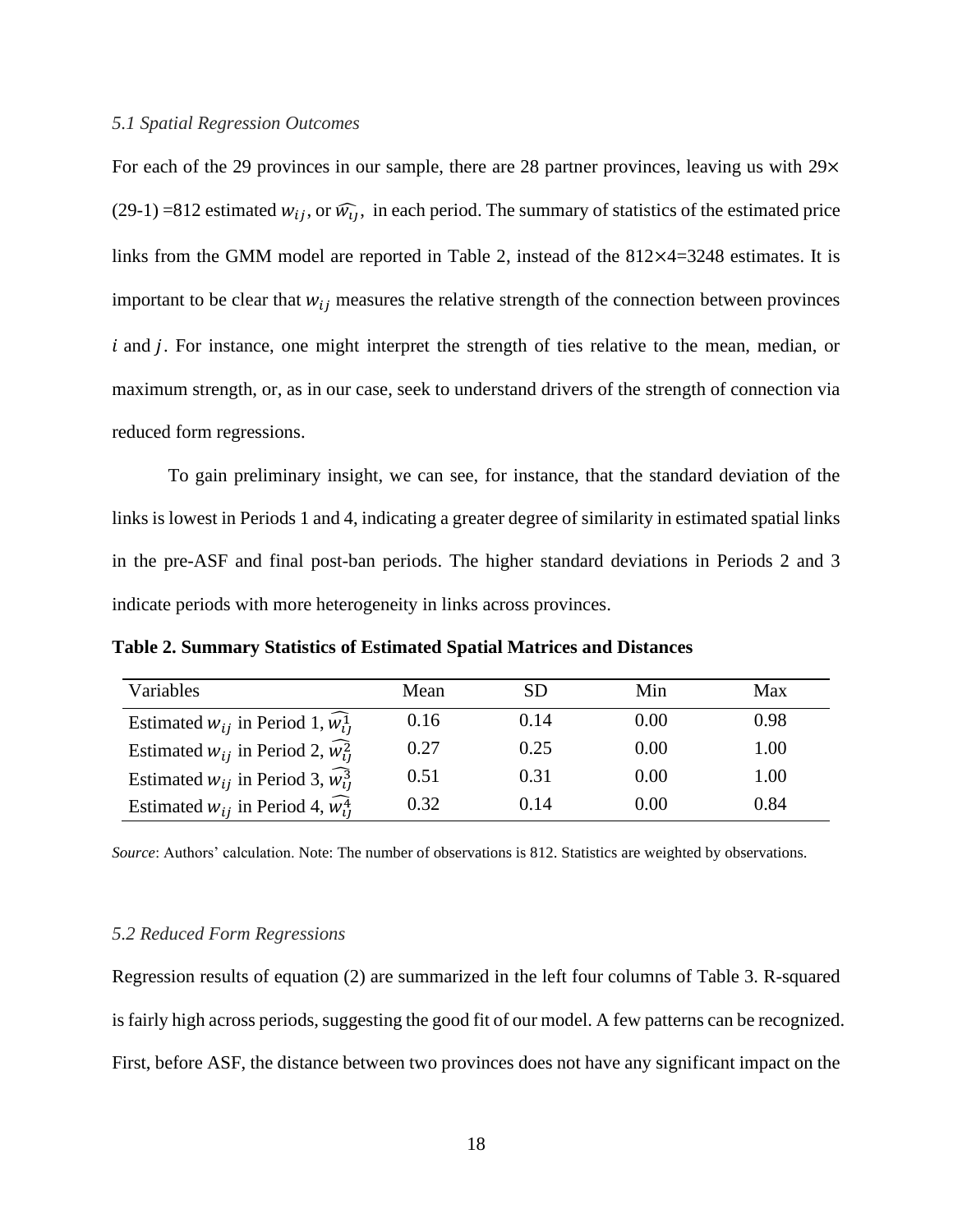#### *5.1 Spatial Regression Outcomes*

For each of the 29 provinces in our sample, there are 28 partner provinces, leaving us with 29 $\times$ (29-1) =812 estimated  $w_{ij}$ , or  $\widehat{w_{ij}}$ , in each period. The summary of statistics of the estimated price links from the GMM model are reported in Table 2, instead of the 812×4=3248 estimates. It is important to be clear that  $w_{ij}$  measures the relative strength of the connection between provinces  $i$  and  $j$ . For instance, one might interpret the strength of ties relative to the mean, median, or maximum strength, or, as in our case, seek to understand drivers of the strength of connection via reduced form regressions.

To gain preliminary insight, we can see, for instance, that the standard deviation of the links is lowest in Periods 1 and 4, indicating a greater degree of similarity in estimated spatial links in the pre-ASF and final post-ban periods. The higher standard deviations in Periods 2 and 3 indicate periods with more heterogeneity in links across provinces.

**Table 2. Summary Statistics of Estimated Spatial Matrices and Distances**

| Variables                                            | Mean | <b>SD</b> | Min  | Max  |
|------------------------------------------------------|------|-----------|------|------|
| Estimated $w_{ij}$ in Period 1, $w_{ij}^1$           | 0.16 | 0.14      | 0.00 | 0.98 |
| Estimated $w_{ij}$ in Period 2, $\widehat{w_{ij}^2}$ | 0.27 | 0.25      | 0.00 | 1.00 |
| Estimated $w_{ij}$ in Period 3, $\widehat{w_{ij}^3}$ | 0.51 | 0.31      | 0.00 | 1.00 |
| Estimated $w_{ij}$ in Period 4, $\widehat{w_{ij}^4}$ | 0.32 | 0.14      | 0.00 | 0.84 |

*Source*: Authors' calculation. Note: The number of observations is 812. Statistics are weighted by observations.

## *5.2 Reduced Form Regressions*

Regression results of equation (2) are summarized in the left four columns of Table 3. R-squared is fairly high across periods, suggesting the good fit of our model. A few patterns can be recognized. First, before ASF, the distance between two provinces does not have any significant impact on the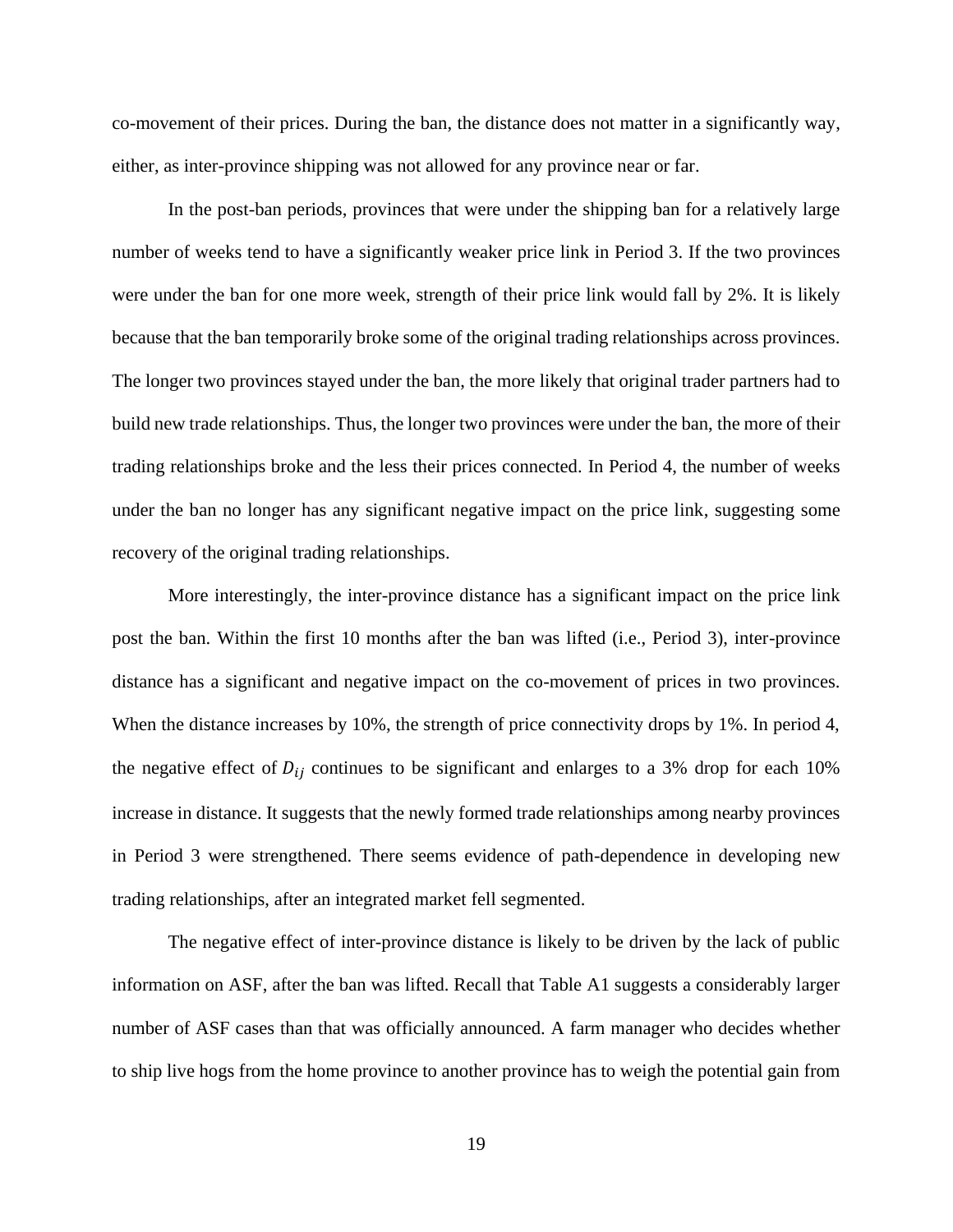co-movement of their prices. During the ban, the distance does not matter in a significantly way, either, as inter-province shipping was not allowed for any province near or far.

In the post-ban periods, provinces that were under the shipping ban for a relatively large number of weeks tend to have a significantly weaker price link in Period 3. If the two provinces were under the ban for one more week, strength of their price link would fall by 2%. It is likely because that the ban temporarily broke some of the original trading relationships across provinces. The longer two provinces stayed under the ban, the more likely that original trader partners had to build new trade relationships. Thus, the longer two provinces were under the ban, the more of their trading relationships broke and the less their prices connected. In Period 4, the number of weeks under the ban no longer has any significant negative impact on the price link, suggesting some recovery of the original trading relationships.

More interestingly, the inter-province distance has a significant impact on the price link post the ban. Within the first 10 months after the ban was lifted (i.e., Period 3), inter-province distance has a significant and negative impact on the co-movement of prices in two provinces. When the distance increases by 10%, the strength of price connectivity drops by 1%. In period 4, the negative effect of  $D_{ij}$  continues to be significant and enlarges to a 3% drop for each 10% increase in distance. It suggests that the newly formed trade relationships among nearby provinces in Period 3 were strengthened. There seems evidence of path-dependence in developing new trading relationships, after an integrated market fell segmented.

The negative effect of inter-province distance is likely to be driven by the lack of public information on ASF, after the ban was lifted. Recall that Table A1 suggests a considerably larger number of ASF cases than that was officially announced. A farm manager who decides whether to ship live hogs from the home province to another province has to weigh the potential gain from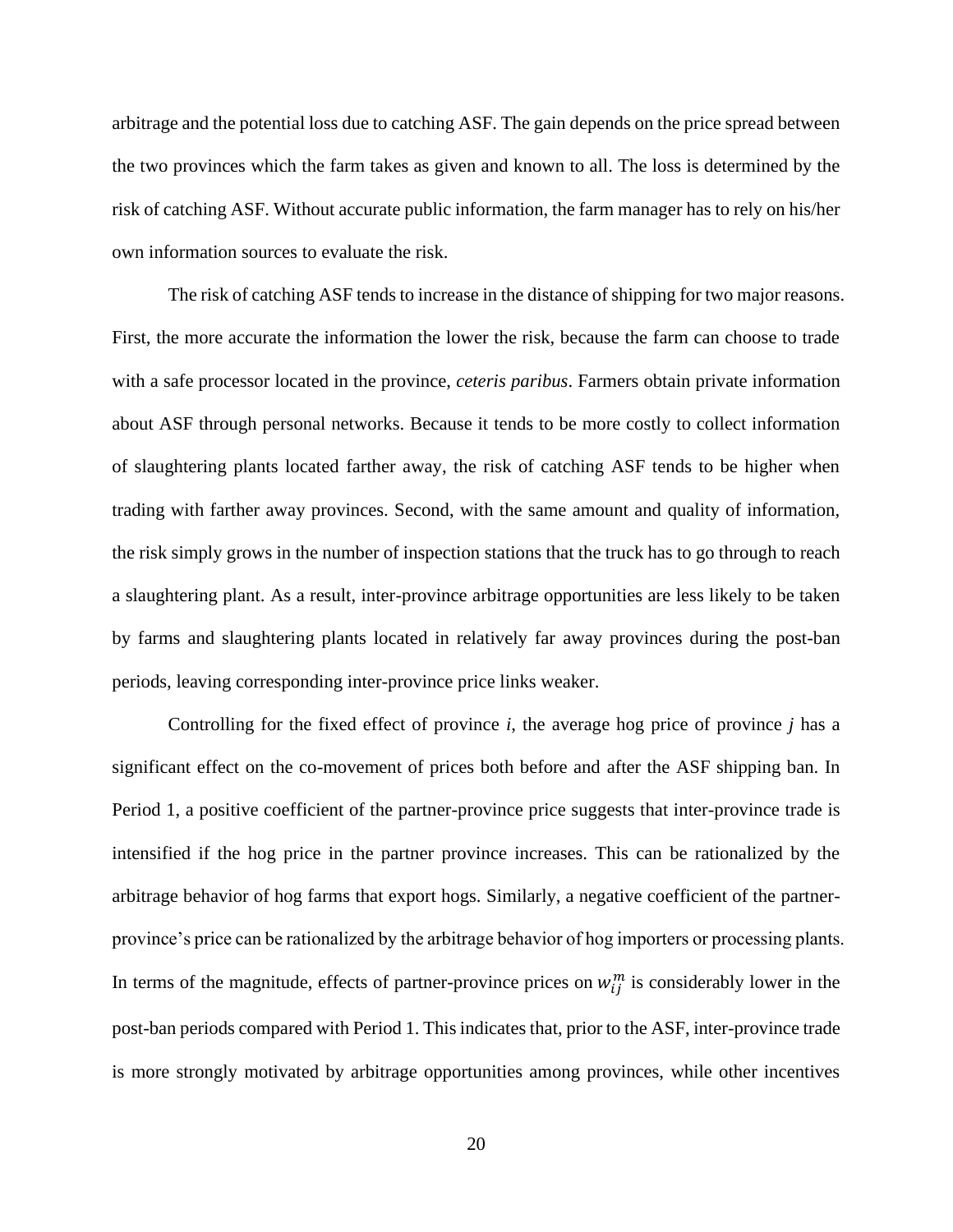arbitrage and the potential loss due to catching ASF. The gain depends on the price spread between the two provinces which the farm takes as given and known to all. The loss is determined by the risk of catching ASF. Without accurate public information, the farm manager has to rely on his/her own information sources to evaluate the risk.

The risk of catching ASF tends to increase in the distance of shipping for two major reasons. First, the more accurate the information the lower the risk, because the farm can choose to trade with a safe processor located in the province, *ceteris paribus*. Farmers obtain private information about ASF through personal networks. Because it tends to be more costly to collect information of slaughtering plants located farther away, the risk of catching ASF tends to be higher when trading with farther away provinces. Second, with the same amount and quality of information, the risk simply grows in the number of inspection stations that the truck has to go through to reach a slaughtering plant. As a result, inter-province arbitrage opportunities are less likely to be taken by farms and slaughtering plants located in relatively far away provinces during the post-ban periods, leaving corresponding inter-province price links weaker.

Controlling for the fixed effect of province *i*, the average hog price of province *j* has a significant effect on the co-movement of prices both before and after the ASF shipping ban. In Period 1, a positive coefficient of the partner-province price suggests that inter-province trade is intensified if the hog price in the partner province increases. This can be rationalized by the arbitrage behavior of hog farms that export hogs. Similarly, a negative coefficient of the partnerprovince's price can be rationalized by the arbitrage behavior of hog importers or processing plants. In terms of the magnitude, effects of partner-province prices on  $w_{ij}^m$  is considerably lower in the post-ban periods compared with Period 1. This indicates that, prior to the ASF, inter-province trade is more strongly motivated by arbitrage opportunities among provinces, while other incentives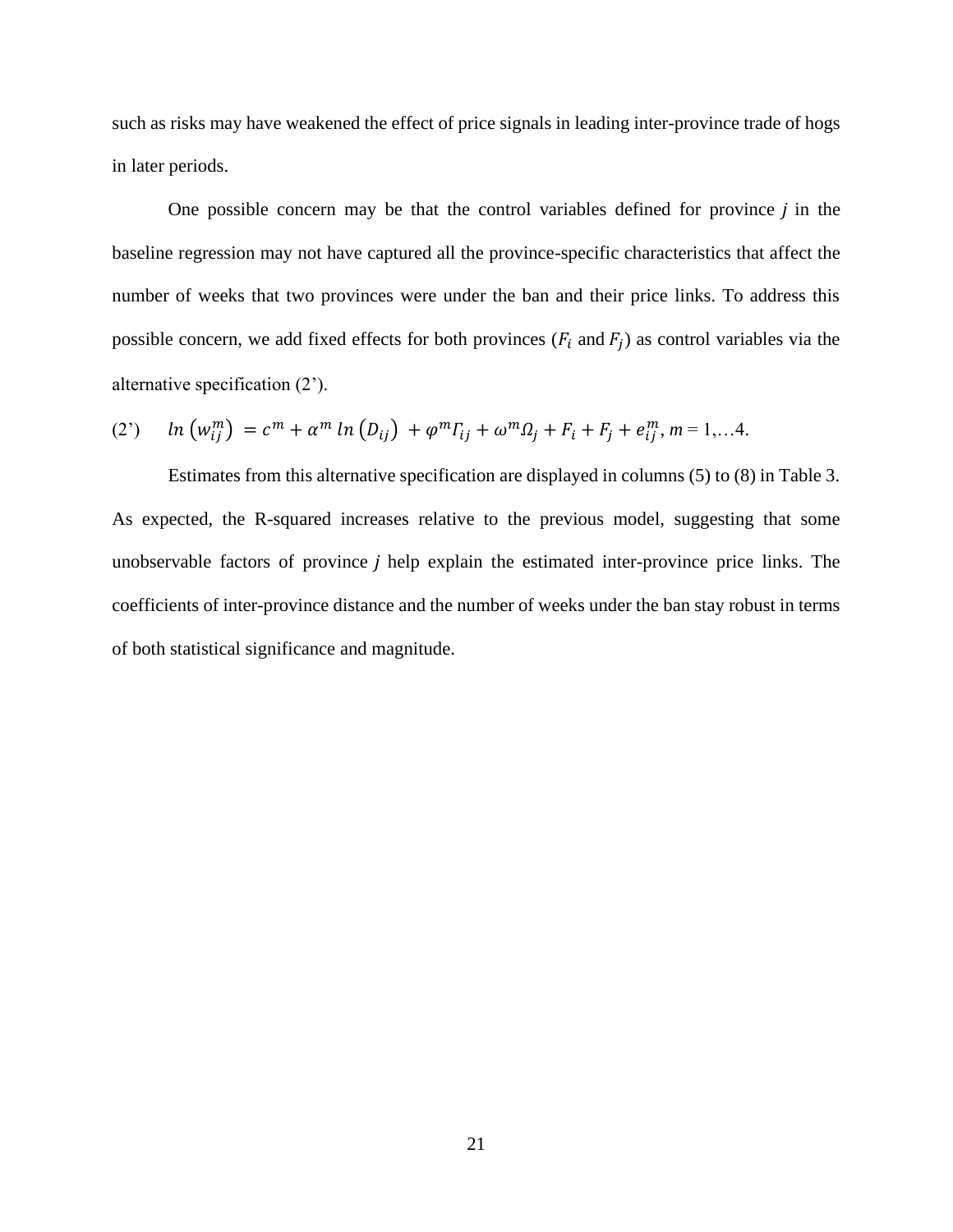such as risks may have weakened the effect of price signals in leading inter-province trade of hogs in later periods.

One possible concern may be that the control variables defined for province  $j$  in the baseline regression may not have captured all the province-specific characteristics that affect the number of weeks that two provinces were under the ban and their price links. To address this possible concern, we add fixed effects for both provinces  $(F_i$  and  $F_j)$  as control variables via the alternative specification (2').

(2') 
$$
\ln (w_{ij}^m) = c^m + \alpha^m \ln (D_{ij}) + \varphi^m \Gamma_{ij} + \omega^m \Omega_j + F_i + F_j + e_{ij}^m, m = 1,...4.
$$

Estimates from this alternative specification are displayed in columns (5) to (8) in Table 3. As expected, the R-squared increases relative to the previous model, suggesting that some unobservable factors of province  $j$  help explain the estimated inter-province price links. The coefficients of inter-province distance and the number of weeks under the ban stay robust in terms of both statistical significance and magnitude.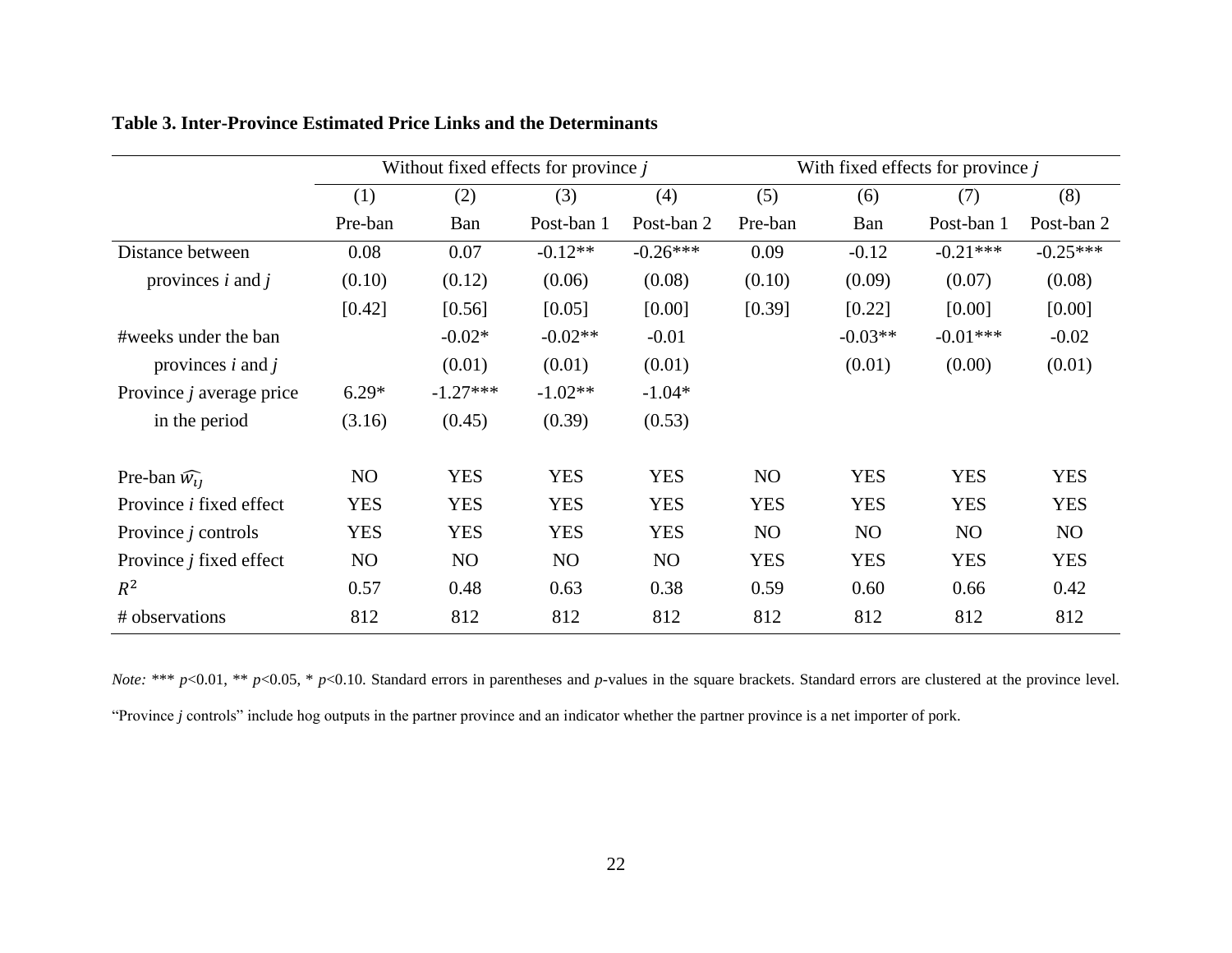|                                 | Without fixed effects for province $j$ |            |            |            | With fixed effects for province $j$ |                |                |            |
|---------------------------------|----------------------------------------|------------|------------|------------|-------------------------------------|----------------|----------------|------------|
|                                 | (1)                                    | (2)        | (3)        | (4)        | (5)                                 | (6)            | (7)            | (8)        |
|                                 | Pre-ban                                | Ban        | Post-ban 1 | Post-ban 2 | Pre-ban                             | Ban            | Post-ban 1     | Post-ban 2 |
| Distance between                | 0.08                                   | 0.07       | $-0.12**$  | $-0.26***$ | 0.09                                | $-0.12$        | $-0.21***$     | $-0.25***$ |
| provinces $i$ and $j$           | (0.10)                                 | (0.12)     | (0.06)     | (0.08)     | (0.10)                              | (0.09)         | (0.07)         | (0.08)     |
|                                 | [0.42]                                 | [0.56]     | [0.05]     | [0.00]     | [0.39]                              | [0.22]         | [0.00]         | [0.00]     |
| #weeks under the ban            |                                        | $-0.02*$   | $-0.02**$  | $-0.01$    |                                     | $-0.03**$      | $-0.01***$     | $-0.02$    |
| provinces $i$ and $j$           |                                        | (0.01)     | (0.01)     | (0.01)     |                                     | (0.01)         | (0.00)         | (0.01)     |
| Province <i>j</i> average price | $6.29*$                                | $-1.27***$ | $-1.02**$  | $-1.04*$   |                                     |                |                |            |
| in the period                   | (3.16)                                 | (0.45)     | (0.39)     | (0.53)     |                                     |                |                |            |
| Pre-ban $\widehat{W}_{11}$      | N <sub>O</sub>                         | <b>YES</b> | <b>YES</b> | <b>YES</b> | NO                                  | <b>YES</b>     | <b>YES</b>     | <b>YES</b> |
| Province <i>i</i> fixed effect  | <b>YES</b>                             | <b>YES</b> | <b>YES</b> | <b>YES</b> | <b>YES</b>                          | <b>YES</b>     | <b>YES</b>     | <b>YES</b> |
| Province $j$ controls           | <b>YES</b>                             | <b>YES</b> | <b>YES</b> | <b>YES</b> | NO                                  | N <sub>O</sub> | N <sub>O</sub> | NO.        |
| Province $j$ fixed effect       | NO                                     | NO         | NO         | NO         | <b>YES</b>                          | <b>YES</b>     | <b>YES</b>     | <b>YES</b> |
| $R^2$                           | 0.57                                   | 0.48       | 0.63       | 0.38       | 0.59                                | 0.60           | 0.66           | 0.42       |
| # observations                  | 812                                    | 812        | 812        | 812        | 812                                 | 812            | 812            | 812        |

**Table 3. Inter-Province Estimated Price Links and the Determinants**

*Note:* \*\*\* *p*<0.01, \*\* *p*<0.05, \* *p*<0.10. Standard errors in parentheses and *p*-values in the square brackets. Standard errors are clustered at the province level. "Province *j* controls" include hog outputs in the partner province and an indicator whether the partner province is a net importer of pork.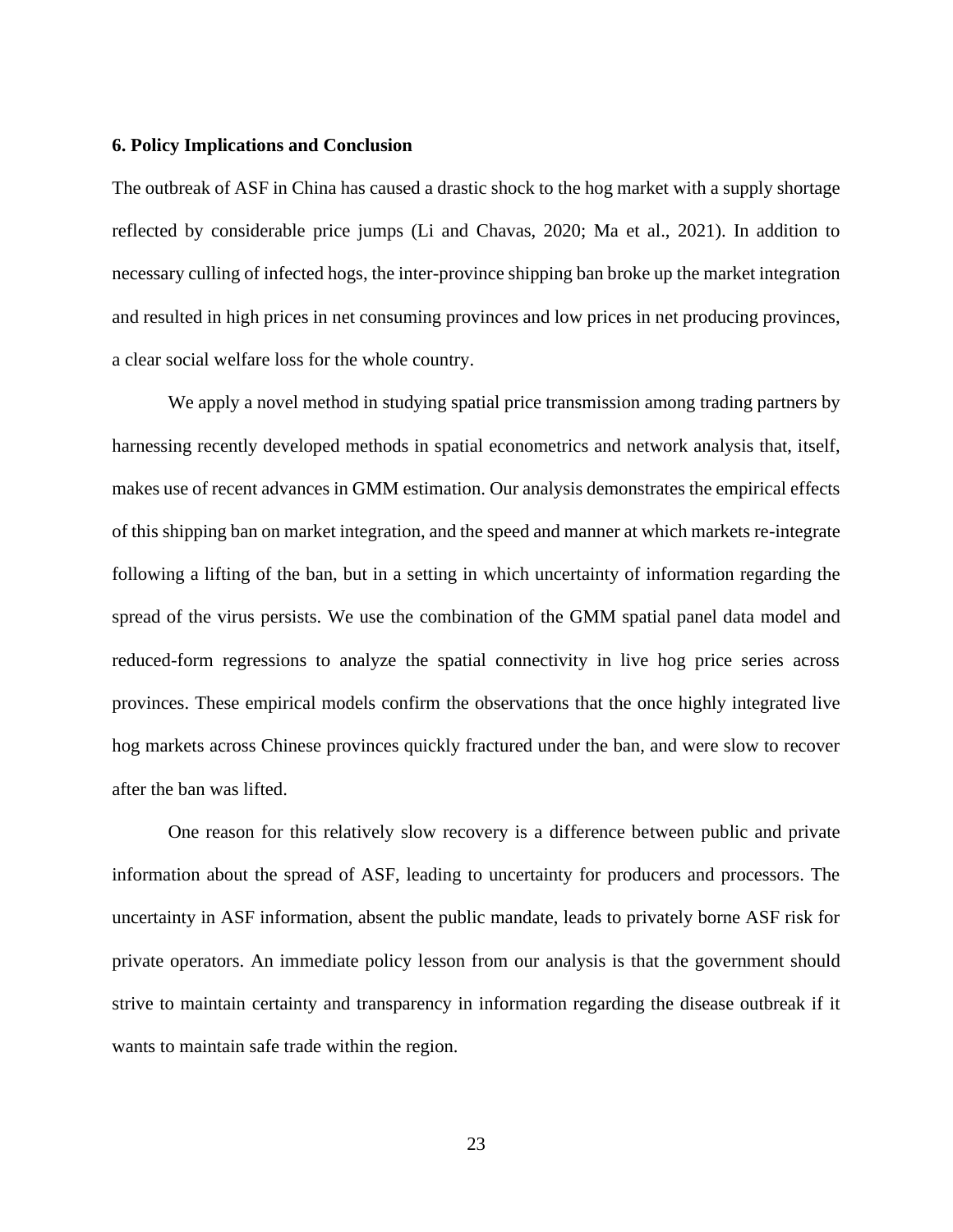## **6. Policy Implications and Conclusion**

The outbreak of ASF in China has caused a drastic shock to the hog market with a supply shortage reflected by considerable price jumps (Li and Chavas, 2020; Ma et al., 2021). In addition to necessary culling of infected hogs, the inter-province shipping ban broke up the market integration and resulted in high prices in net consuming provinces and low prices in net producing provinces, a clear social welfare loss for the whole country.

We apply a novel method in studying spatial price transmission among trading partners by harnessing recently developed methods in spatial econometrics and network analysis that, itself, makes use of recent advances in GMM estimation. Our analysis demonstrates the empirical effects of this shipping ban on market integration, and the speed and manner at which markets re-integrate following a lifting of the ban, but in a setting in which uncertainty of information regarding the spread of the virus persists. We use the combination of the GMM spatial panel data model and reduced-form regressions to analyze the spatial connectivity in live hog price series across provinces. These empirical models confirm the observations that the once highly integrated live hog markets across Chinese provinces quickly fractured under the ban, and were slow to recover after the ban was lifted.

One reason for this relatively slow recovery is a difference between public and private information about the spread of ASF, leading to uncertainty for producers and processors. The uncertainty in ASF information, absent the public mandate, leads to privately borne ASF risk for private operators. An immediate policy lesson from our analysis is that the government should strive to maintain certainty and transparency in information regarding the disease outbreak if it wants to maintain safe trade within the region.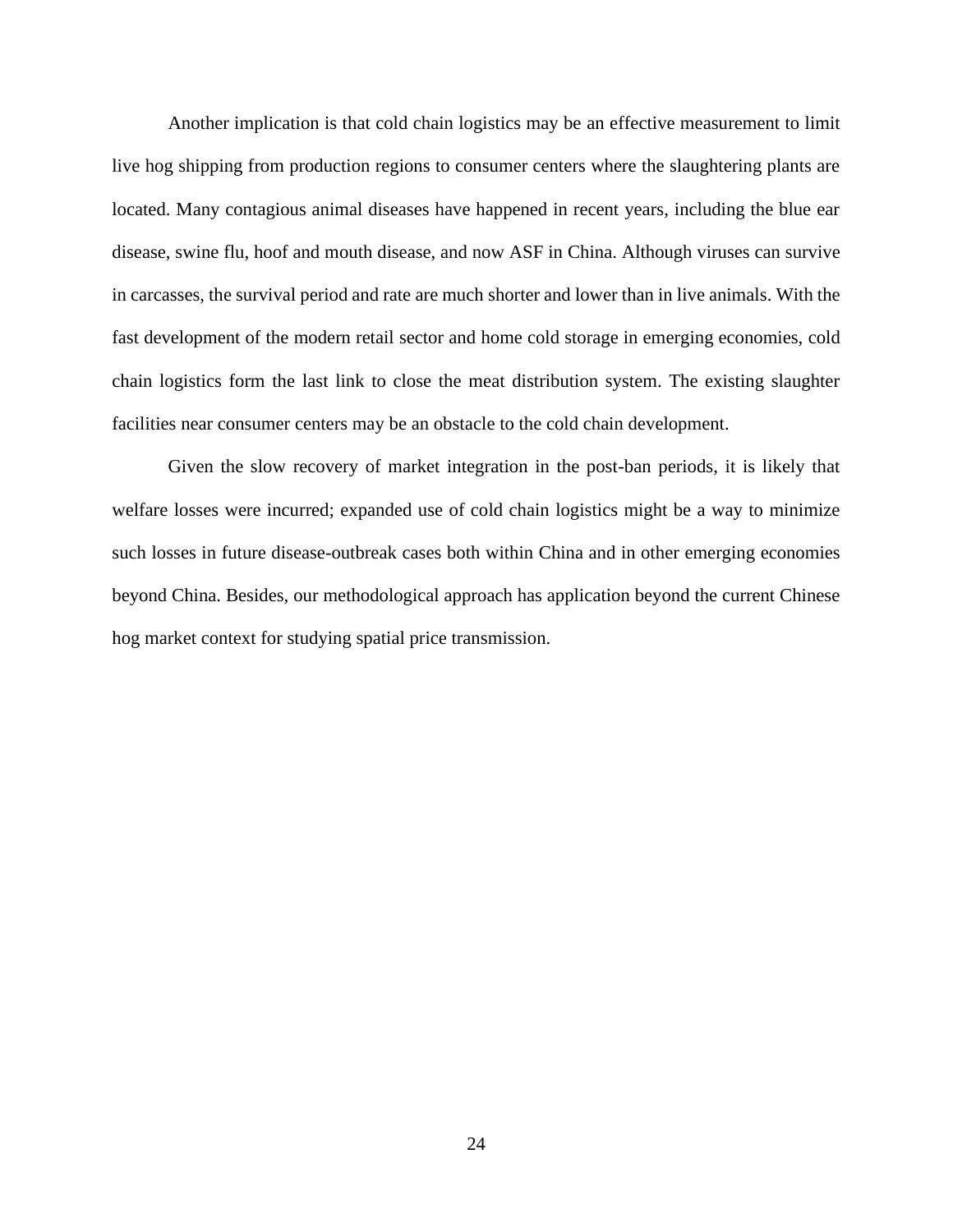Another implication is that cold chain logistics may be an effective measurement to limit live hog shipping from production regions to consumer centers where the slaughtering plants are located. Many contagious animal diseases have happened in recent years, including the blue ear disease, swine flu, hoof and mouth disease, and now ASF in China. Although viruses can survive in carcasses, the survival period and rate are much shorter and lower than in live animals. With the fast development of the modern retail sector and home cold storage in emerging economies, cold chain logistics form the last link to close the meat distribution system. The existing slaughter facilities near consumer centers may be an obstacle to the cold chain development.

Given the slow recovery of market integration in the post-ban periods, it is likely that welfare losses were incurred; expanded use of cold chain logistics might be a way to minimize such losses in future disease-outbreak cases both within China and in other emerging economies beyond China. Besides, our methodological approach has application beyond the current Chinese hog market context for studying spatial price transmission.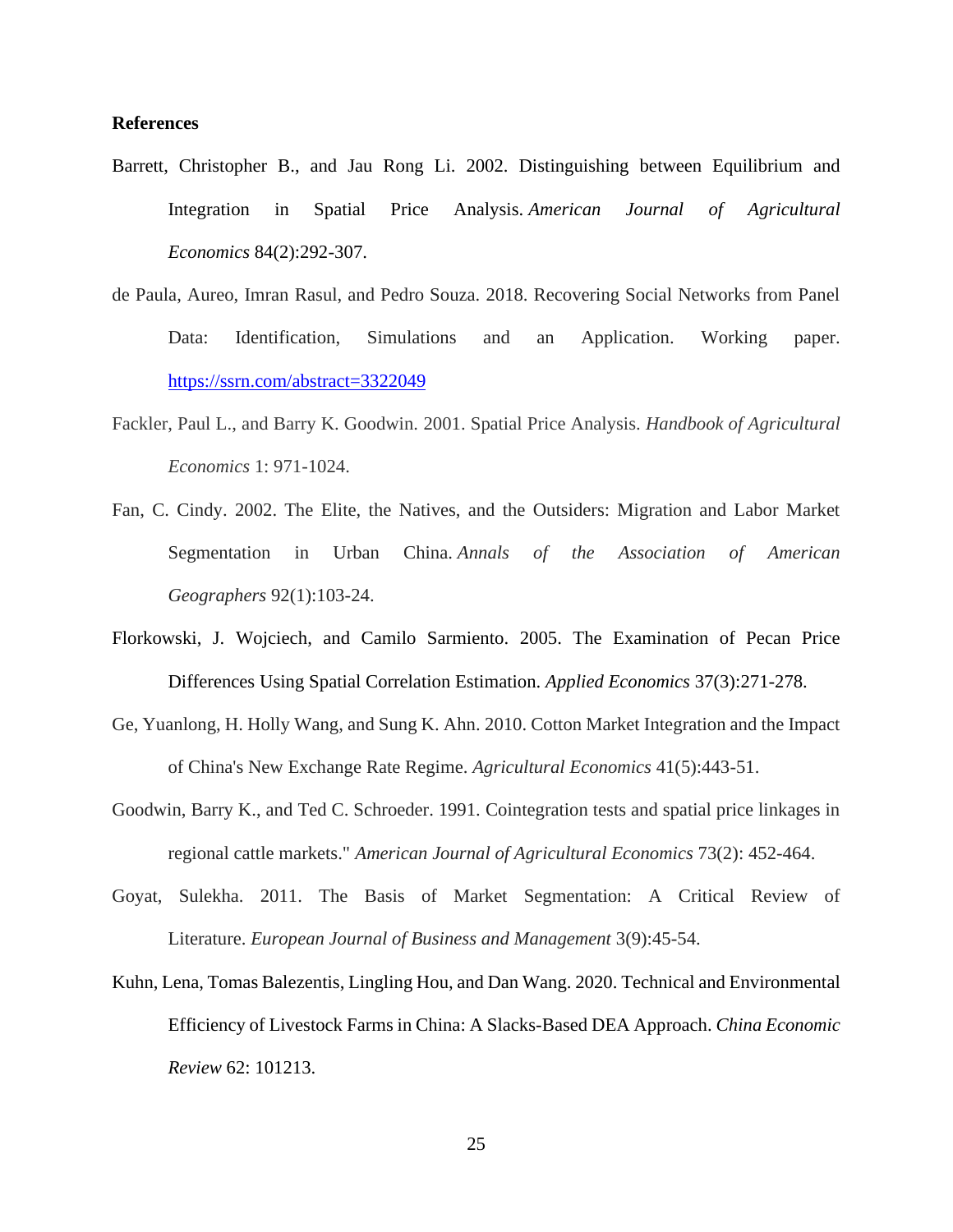## **References**

- Barrett, Christopher B., and Jau Rong Li. 2002. Distinguishing between Equilibrium and Integration in Spatial Price Analysis. *American Journal of Agricultural Economics* 84(2):292-307.
- de Paula, Aureo, Imran Rasul, and Pedro Souza. 2018. Recovering Social Networks from Panel Data: Identification, Simulations and an Application. Working paper. <https://ssrn.com/abstract=3322049>
- Fackler, Paul L., and Barry K. Goodwin. 2001. Spatial Price Analysis. *Handbook of Agricultural Economics* 1: 971-1024.
- Fan, C. Cindy. 2002. The Elite, the Natives, and the Outsiders: Migration and Labor Market Segmentation in Urban China. *Annals of the Association of American Geographers* 92(1):103-24.
- Florkowski, J. Wojciech, and Camilo Sarmiento. 2005. The Examination of Pecan Price Differences Using Spatial Correlation Estimation. *Applied Economics* 37(3):271-278.
- Ge, Yuanlong, H. Holly Wang, and Sung K. Ahn. 2010. Cotton Market Integration and the Impact of China's New Exchange Rate Regime. *Agricultural Economics* 41(5):443-51.
- Goodwin, Barry K., and Ted C. Schroeder. 1991. Cointegration tests and spatial price linkages in regional cattle markets." *American Journal of Agricultural Economics* 73(2): 452-464.
- Goyat, Sulekha. 2011. The Basis of Market Segmentation: A Critical Review of Literature. *European Journal of Business and Management* 3(9):45-54.
- Kuhn, Lena, Tomas Balezentis, Lingling Hou, and Dan Wang. 2020. Technical and Environmental Efficiency of Livestock Farms in China: A Slacks-Based DEA Approach. *China Economic Review* 62: 101213.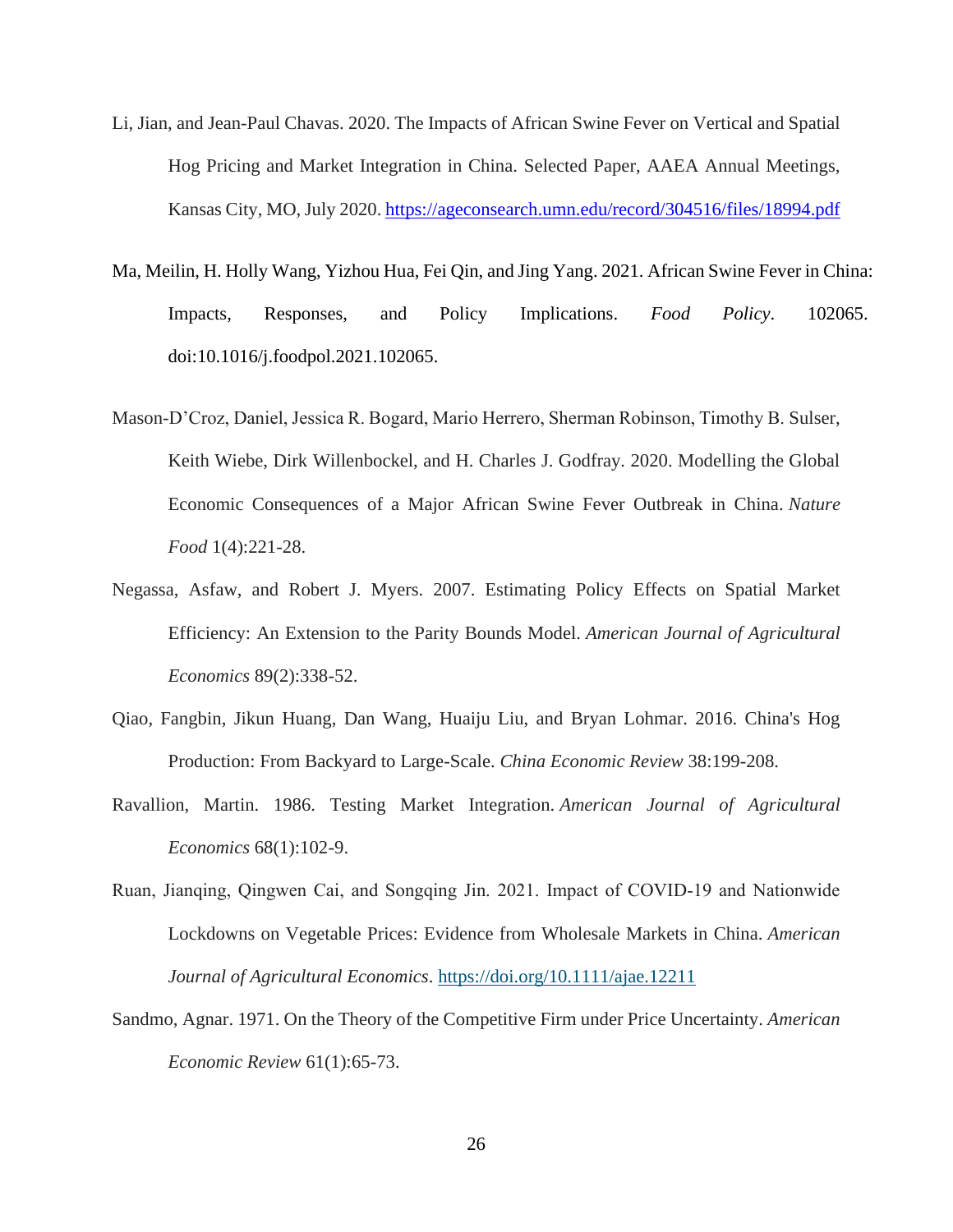- Li, Jian, and Jean-Paul Chavas. 2020. The Impacts of African Swine Fever on Vertical and Spatial Hog Pricing and Market Integration in China. Selected Paper, AAEA Annual Meetings, Kansas City, MO, July 2020[. https://ageconsearch.umn.edu/record/304516/files/18994.pdf](https://ageconsearch.umn.edu/record/304516/files/18994.pdf)
- Ma, Meilin, H. Holly Wang, Yizhou Hua, Fei Qin, and Jing Yang. 2021. African Swine Fever in China: Impacts, Responses, and Policy Implications. *Food Policy*. 102065. [doi:10.1016/j.foodpol.2021.102065.](https://doi.org/10.1016/j.foodpol.2021.102065)
- Mason-D'Croz, Daniel, Jessica R. Bogard, Mario Herrero, Sherman Robinson, Timothy B. Sulser, Keith Wiebe, Dirk Willenbockel, and H. Charles J. Godfray. 2020. Modelling the Global Economic Consequences of a Major African Swine Fever Outbreak in China. *Nature Food* 1(4):221-28.
- Negassa, Asfaw, and Robert J. Myers. 2007. Estimating Policy Effects on Spatial Market Efficiency: An Extension to the Parity Bounds Model. *American Journal of Agricultural Economics* 89(2):338-52.
- Qiao, Fangbin, Jikun Huang, Dan Wang, Huaiju Liu, and Bryan Lohmar. 2016. China's Hog Production: From Backyard to Large-Scale. *China Economic Review* 38:199-208.
- Ravallion, Martin. 1986. Testing Market Integration. *American Journal of Agricultural Economics* 68(1):102-9.
- Ruan, Jianqing, Qingwen Cai, and Songqing Jin. 2021. Impact of COVID‐19 and Nationwide Lockdowns on Vegetable Prices: Evidence from Wholesale Markets in China. *American Journal of Agricultural Economics*.<https://doi.org/10.1111/ajae.12211>
- Sandmo, Agnar. 1971. On the Theory of the Competitive Firm under Price Uncertainty. *American Economic Review* 61(1):65-73.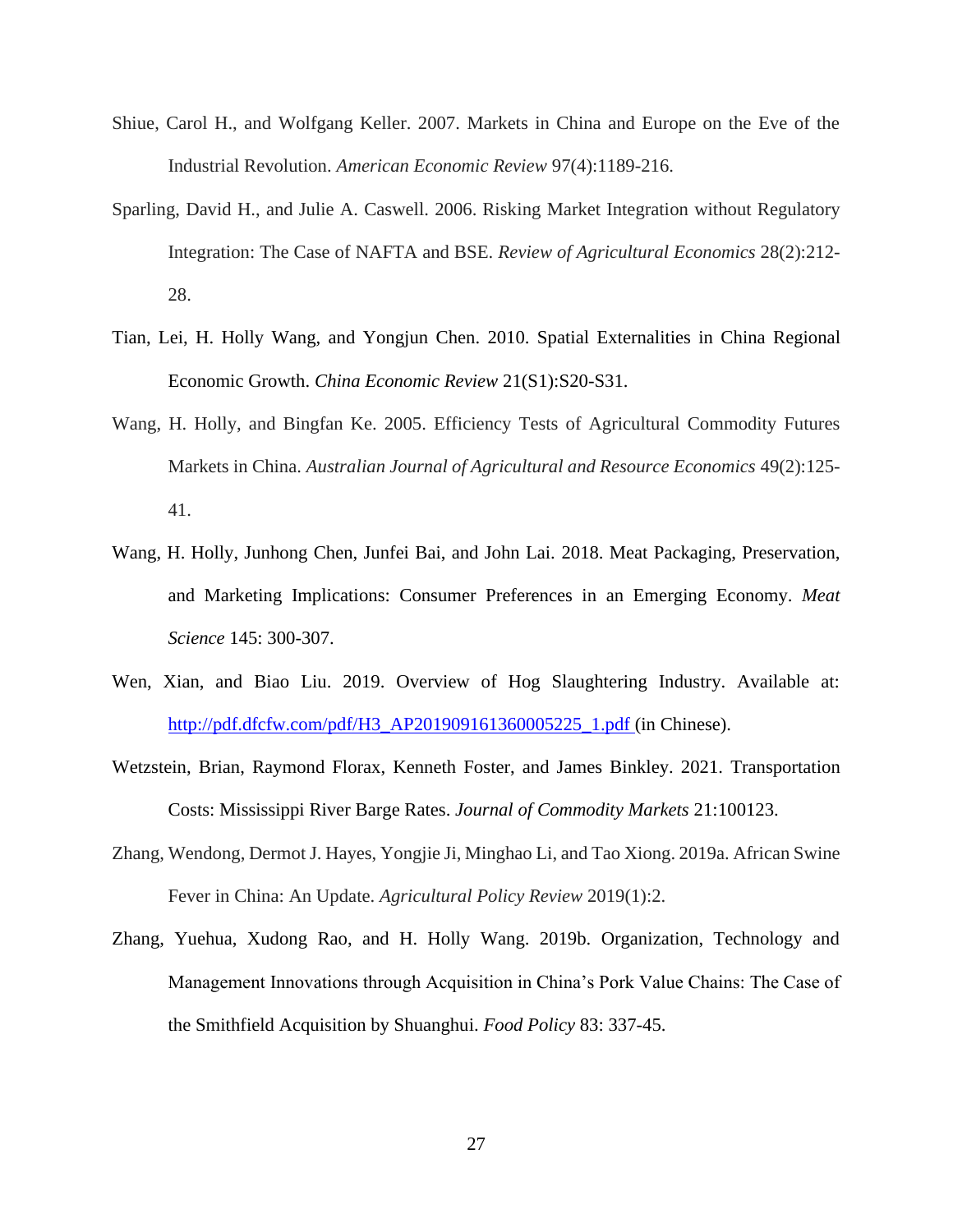- Shiue, Carol H., and Wolfgang Keller. 2007. Markets in China and Europe on the Eve of the Industrial Revolution. *American Economic Review* 97(4):1189-216.
- Sparling, David H., and Julie A. Caswell. 2006. Risking Market Integration without Regulatory Integration: The Case of NAFTA and BSE. *Review of Agricultural Economics* 28(2):212- 28.
- Tian, Lei, H. Holly Wang, and Yongjun Chen. 2010. Spatial Externalities in China Regional Economic Growth. *China Economic Review* 21(S1):S20-S31.
- Wang, H. Holly, and Bingfan Ke. 2005. Efficiency Tests of Agricultural Commodity Futures Markets in China. *Australian Journal of Agricultural and Resource Economics* 49(2):125- 41.
- Wang, H. Holly, Junhong Chen, Junfei Bai, and John Lai. 2018. Meat Packaging, Preservation, and Marketing Implications: Consumer Preferences in an Emerging Economy. *Meat Science* 145: 300-307.
- Wen, Xian, and Biao Liu. 2019. Overview of Hog Slaughtering Industry. Available at: [http://pdf.dfcfw.com/pdf/H3\\_AP201909161360005225\\_1.pdf](http://pdf.dfcfw.com/pdf/H3_AP201909161360005225_1.pdf) (in Chinese).
- Wetzstein, Brian, Raymond Florax, Kenneth Foster, and James Binkley. 2021. Transportation Costs: Mississippi River Barge Rates. *Journal of Commodity Markets* 21:100123.
- Zhang, Wendong, Dermot J. Hayes, Yongjie Ji, Minghao Li, and Tao Xiong. 2019a. African Swine Fever in China: An Update. *Agricultural Policy Review* 2019(1):2.
- Zhang, Yuehua, Xudong Rao, and H. Holly Wang. 2019b. Organization, Technology and Management Innovations through Acquisition in China's Pork Value Chains: The Case of the Smithfield Acquisition by Shuanghui. *Food Policy* 83: 337-45.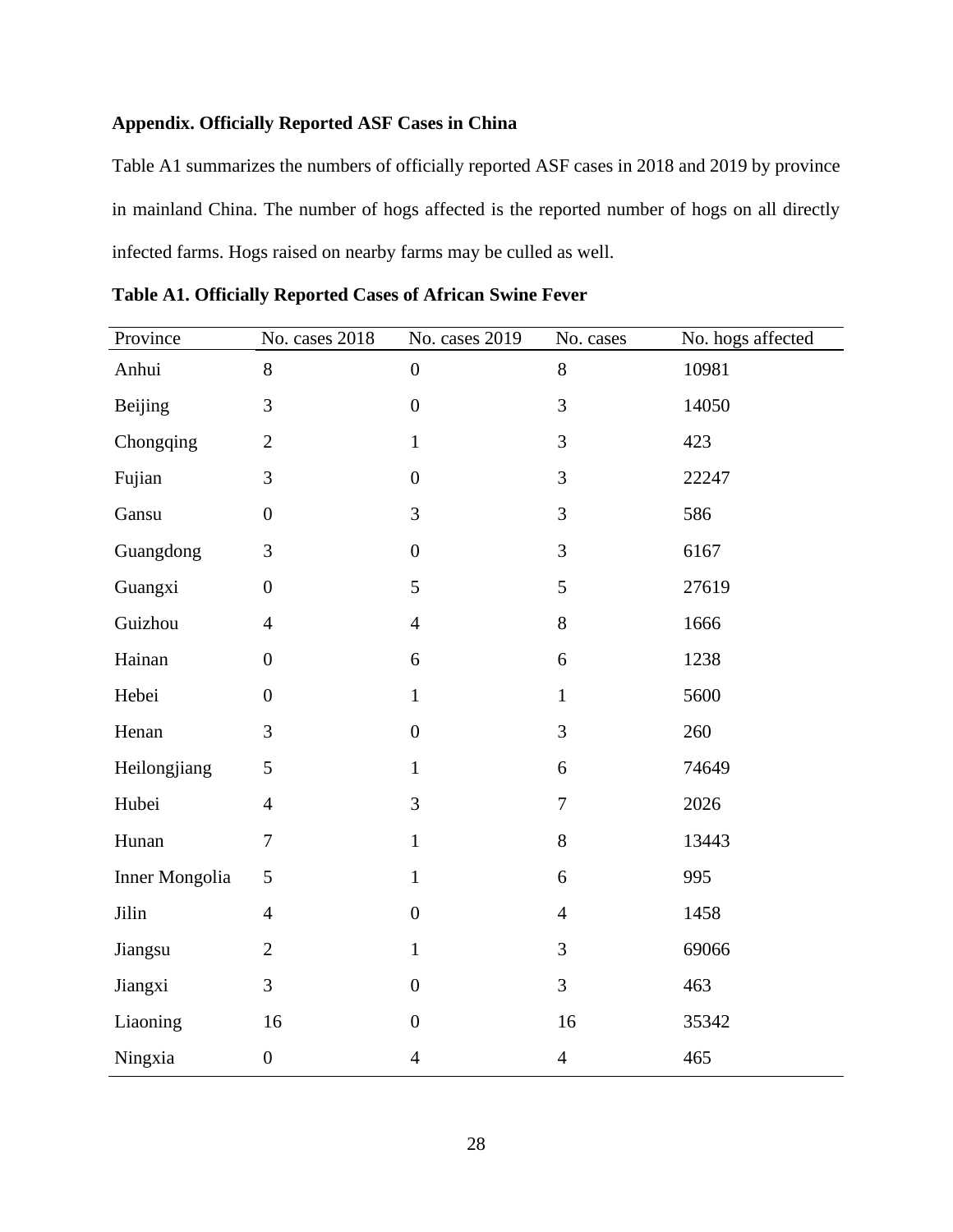## **Appendix. Officially Reported ASF Cases in China**

Table A1 summarizes the numbers of officially reported ASF cases in 2018 and 2019 by province in mainland China. The number of hogs affected is the reported number of hogs on all directly infected farms. Hogs raised on nearby farms may be culled as well.

| Province       | No. cases 2018   | No. cases 2019   | No. cases        | No. hogs affected |
|----------------|------------------|------------------|------------------|-------------------|
| Anhui          | 8                | $\boldsymbol{0}$ | $8\,$            | 10981             |
| <b>Beijing</b> | 3                | $\boldsymbol{0}$ | 3                | 14050             |
| Chongqing      | $\overline{2}$   | $\mathbf{1}$     | 3                | 423               |
| Fujian         | 3                | $\boldsymbol{0}$ | $\mathfrak{Z}$   | 22247             |
| Gansu          | $\boldsymbol{0}$ | 3                | 3                | 586               |
| Guangdong      | 3                | $\boldsymbol{0}$ | 3                | 6167              |
| Guangxi        | $\boldsymbol{0}$ | 5                | 5                | 27619             |
| Guizhou        | $\overline{4}$   | $\overline{4}$   | $8\,$            | 1666              |
| Hainan         | $\boldsymbol{0}$ | 6                | 6                | 1238              |
| Hebei          | $\overline{0}$   | $\mathbf{1}$     | $\mathbf{1}$     | 5600              |
| Henan          | 3                | $\boldsymbol{0}$ | 3                | 260               |
| Heilongjiang   | 5                | $\mathbf{1}$     | $\boldsymbol{6}$ | 74649             |
| Hubei          | $\overline{4}$   | 3                | $\tau$           | 2026              |
| Hunan          | $\tau$           | $\mathbf{1}$     | $8\,$            | 13443             |
| Inner Mongolia | 5                | $\mathbf{1}$     | 6                | 995               |
| Jilin          | $\overline{4}$   | $\boldsymbol{0}$ | $\overline{4}$   | 1458              |
| Jiangsu        | $\overline{2}$   | $\mathbf{1}$     | 3                | 69066             |
| Jiangxi        | 3                | $\boldsymbol{0}$ | 3                | 463               |
| Liaoning       | 16               | $\boldsymbol{0}$ | 16               | 35342             |
| Ningxia        | $\boldsymbol{0}$ | $\overline{4}$   | $\overline{4}$   | 465               |

**Table A1. Officially Reported Cases of African Swine Fever**